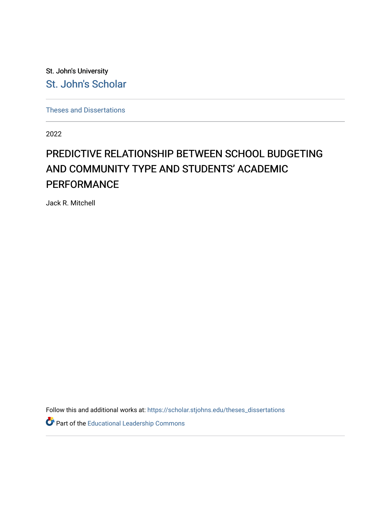St. John's University [St. John's Scholar](https://scholar.stjohns.edu/) 

[Theses and Dissertations](https://scholar.stjohns.edu/theses_dissertations)

2022

# PREDICTIVE RELATIONSHIP BETWEEN SCHOOL BUDGETING AND COMMUNITY TYPE AND STUDENTS' ACADEMIC **PERFORMANCE**

Jack R. Mitchell

Follow this and additional works at: [https://scholar.stjohns.edu/theses\\_dissertations](https://scholar.stjohns.edu/theses_dissertations?utm_source=scholar.stjohns.edu%2Ftheses_dissertations%2F357&utm_medium=PDF&utm_campaign=PDFCoverPages)

Part of the [Educational Leadership Commons](http://network.bepress.com/hgg/discipline/1230?utm_source=scholar.stjohns.edu%2Ftheses_dissertations%2F357&utm_medium=PDF&utm_campaign=PDFCoverPages)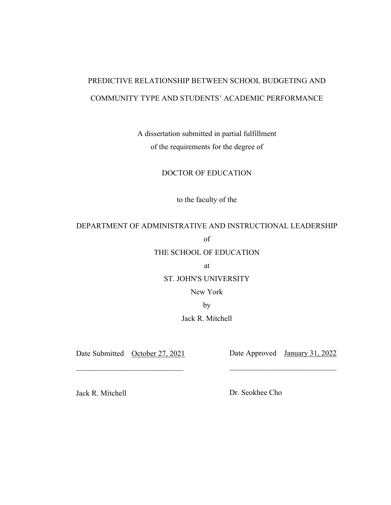# PREDICTIVE RELATIONSHIP BETWEEN SCHOOL BUDGETING AND COMMUNITY TYPE AND STUDENTS' ACADEMIC PERFORMANCE

A dissertation submitted in partial fulfillment of the requirements for the degree of

DOCTOR OF EDUCATION

to the faculty of the

# DEPARTMENT OF ADMINISTRATIVE AND INSTRUCTIONAL LEADERSHIP of

# THE SCHOOL OF EDUCATION

at

## ST. JOHN'S UNIVERSITY

# New York

by

## Jack R. Mitchell

 $\overline{\phantom{a}}$  , and the contribution of the contribution of the contribution of the contribution of the contribution of the contribution of the contribution of the contribution of the contribution of the contribution of the

Date Submitted October 27, 2021 Date Approved January 31, 2022

Jack R. Mitchell Dr. Seokhee Cho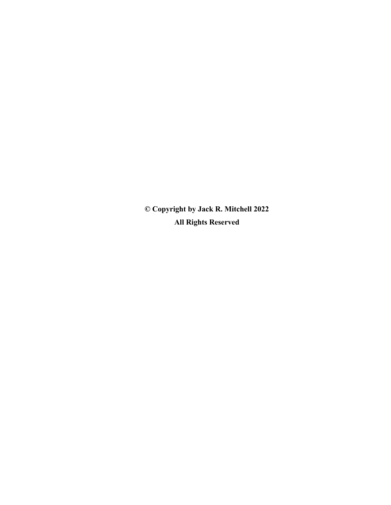**© Copyright by Jack R. Mitchell 2022 All Rights Reserved**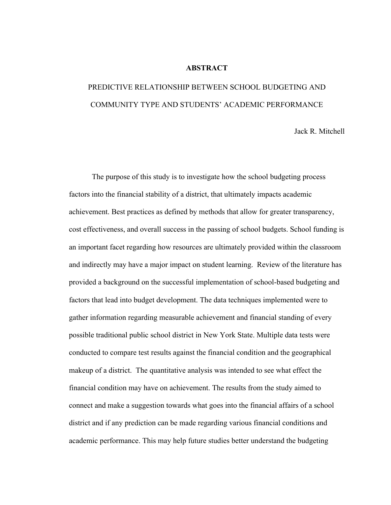#### **ABSTRACT**

# PREDICTIVE RELATIONSHIP BETWEEN SCHOOL BUDGETING AND COMMUNITY TYPE AND STUDENTS' ACADEMIC PERFORMANCE

Jack R. Mitchell

The purpose of this study is to investigate how the school budgeting process factors into the financial stability of a district, that ultimately impacts academic achievement. Best practices as defined by methods that allow for greater transparency, cost effectiveness, and overall success in the passing of school budgets. School funding is an important facet regarding how resources are ultimately provided within the classroom and indirectly may have a major impact on student learning. Review of the literature has provided a background on the successful implementation of school-based budgeting and factors that lead into budget development. The data techniques implemented were to gather information regarding measurable achievement and financial standing of every possible traditional public school district in New York State. Multiple data tests were conducted to compare test results against the financial condition and the geographical makeup of a district. The quantitative analysis was intended to see what effect the financial condition may have on achievement. The results from the study aimed to connect and make a suggestion towards what goes into the financial affairs of a school district and if any prediction can be made regarding various financial conditions and academic performance. This may help future studies better understand the budgeting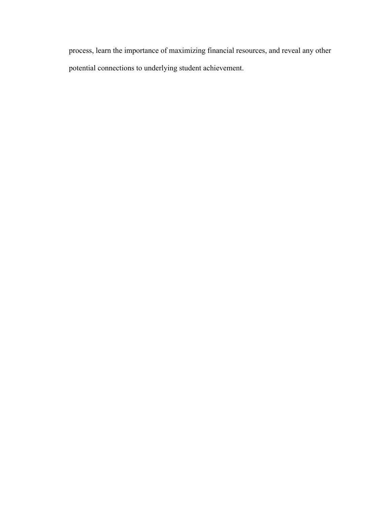process, learn the importance of maximizing financial resources, and reveal any other potential connections to underlying student achievement.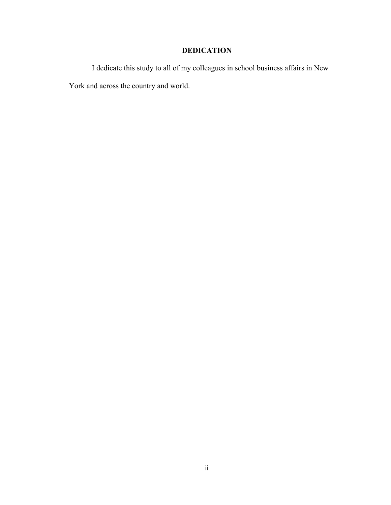# **DEDICATION**

I dedicate this study to all of my colleagues in school business affairs in New York and across the country and world.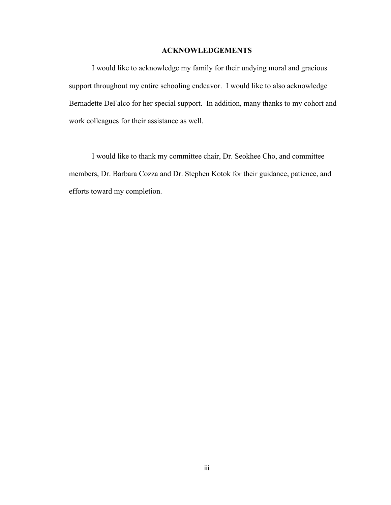## **ACKNOWLEDGEMENTS**

I would like to acknowledge my family for their undying moral and gracious support throughout my entire schooling endeavor. I would like to also acknowledge Bernadette DeFalco for her special support. In addition, many thanks to my cohort and work colleagues for their assistance as well.

 I would like to thank my committee chair, Dr. Seokhee Cho, and committee members, Dr. Barbara Cozza and Dr. Stephen Kotok for their guidance, patience, and efforts toward my completion.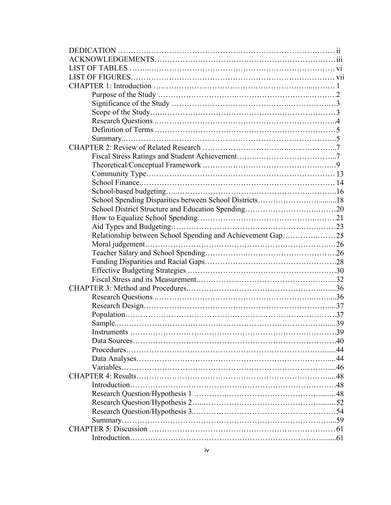| School Spending Disparities between School Districts18     |  |
|------------------------------------------------------------|--|
|                                                            |  |
|                                                            |  |
|                                                            |  |
| Relationship between School Spending and Achievement Gap25 |  |
|                                                            |  |
|                                                            |  |
|                                                            |  |
|                                                            |  |
|                                                            |  |
|                                                            |  |
|                                                            |  |
|                                                            |  |
|                                                            |  |
|                                                            |  |
|                                                            |  |
|                                                            |  |
|                                                            |  |
|                                                            |  |
|                                                            |  |
|                                                            |  |
|                                                            |  |
|                                                            |  |
|                                                            |  |
|                                                            |  |
|                                                            |  |
|                                                            |  |
|                                                            |  |
|                                                            |  |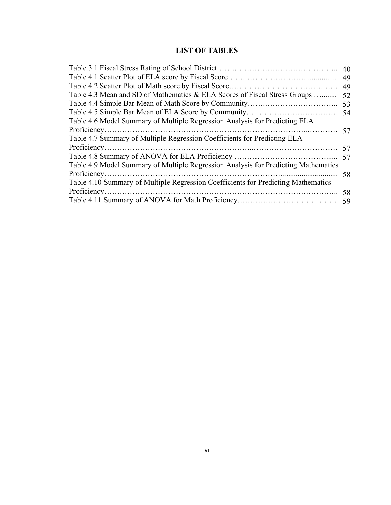# **LIST OF TABLES**

| Table 4.3 Mean and SD of Mathematics & ELA Scores of Fiscal Stress Groups          | 52 |
|------------------------------------------------------------------------------------|----|
|                                                                                    |    |
|                                                                                    |    |
| Table 4.6 Model Summary of Multiple Regression Analysis for Predicting ELA         |    |
|                                                                                    |    |
| Table 4.7 Summary of Multiple Regression Coefficients for Predicting ELA           |    |
|                                                                                    |    |
|                                                                                    |    |
| Table 4.9 Model Summary of Multiple Regression Analysis for Predicting Mathematics |    |
|                                                                                    |    |
| Table 4.10 Summary of Multiple Regression Coefficients for Predicting Mathematics  |    |
|                                                                                    | 58 |
|                                                                                    |    |
|                                                                                    |    |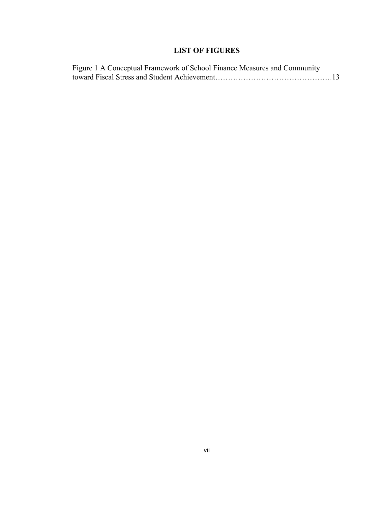# **LIST OF FIGURES**

| Figure 1 A Conceptual Framework of School Finance Measures and Community |  |
|--------------------------------------------------------------------------|--|
|                                                                          |  |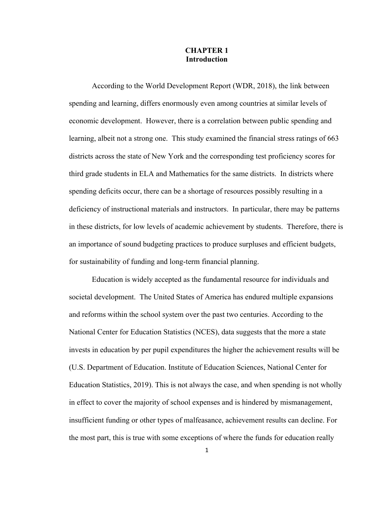# **CHAPTER 1 Introduction**

According to the World Development Report (WDR, 2018), the link between spending and learning, differs enormously even among countries at similar levels of economic development. However, there is a correlation between public spending and learning, albeit not a strong one. This study examined the financial stress ratings of 663 districts across the state of New York and the corresponding test proficiency scores for third grade students in ELA and Mathematics for the same districts. In districts where spending deficits occur, there can be a shortage of resources possibly resulting in a deficiency of instructional materials and instructors. In particular, there may be patterns in these districts, for low levels of academic achievement by students. Therefore, there is an importance of sound budgeting practices to produce surpluses and efficient budgets, for sustainability of funding and long-term financial planning.

Education is widely accepted as the fundamental resource for individuals and societal development. The United States of America has endured multiple expansions and reforms within the school system over the past two centuries. According to the National Center for Education Statistics (NCES), data suggests that the more a state invests in education by per pupil expenditures the higher the achievement results will be (U.S. Department of Education. Institute of Education Sciences, National Center for Education Statistics, 2019). This is not always the case, and when spending is not wholly in effect to cover the majority of school expenses and is hindered by mismanagement, insufficient funding or other types of malfeasance, achievement results can decline. For the most part, this is true with some exceptions of where the funds for education really

1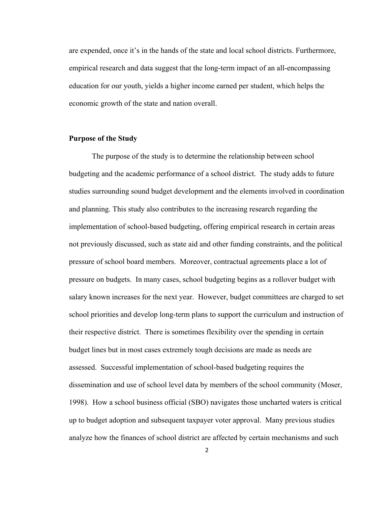are expended, once it's in the hands of the state and local school districts. Furthermore, empirical research and data suggest that the long-term impact of an all-encompassing education for our youth, yields a higher income earned per student, which helps the economic growth of the state and nation overall.

## **Purpose of the Study**

The purpose of the study is to determine the relationship between school budgeting and the academic performance of a school district. The study adds to future studies surrounding sound budget development and the elements involved in coordination and planning. This study also contributes to the increasing research regarding the implementation of school-based budgeting, offering empirical research in certain areas not previously discussed, such as state aid and other funding constraints, and the political pressure of school board members. Moreover, contractual agreements place a lot of pressure on budgets. In many cases, school budgeting begins as a rollover budget with salary known increases for the next year. However, budget committees are charged to set school priorities and develop long-term plans to support the curriculum and instruction of their respective district. There is sometimes flexibility over the spending in certain budget lines but in most cases extremely tough decisions are made as needs are assessed. Successful implementation of school-based budgeting requires the dissemination and use of school level data by members of the school community (Moser, 1998). How a school business official (SBO) navigates those uncharted waters is critical up to budget adoption and subsequent taxpayer voter approval. Many previous studies analyze how the finances of school district are affected by certain mechanisms and such

2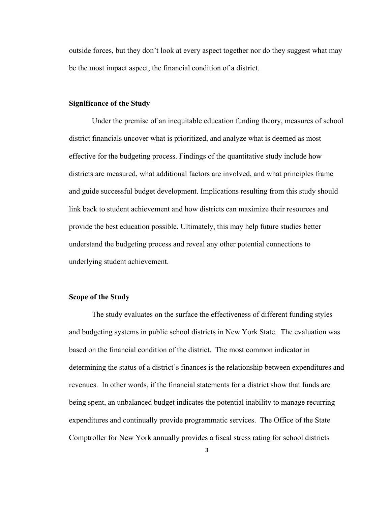outside forces, but they don't look at every aspect together nor do they suggest what may be the most impact aspect, the financial condition of a district.

#### **Significance of the Study**

Under the premise of an inequitable education funding theory, measures of school district financials uncover what is prioritized, and analyze what is deemed as most effective for the budgeting process. Findings of the quantitative study include how districts are measured, what additional factors are involved, and what principles frame and guide successful budget development. Implications resulting from this study should link back to student achievement and how districts can maximize their resources and provide the best education possible. Ultimately, this may help future studies better understand the budgeting process and reveal any other potential connections to underlying student achievement.

#### **Scope of the Study**

The study evaluates on the surface the effectiveness of different funding styles and budgeting systems in public school districts in New York State. The evaluation was based on the financial condition of the district. The most common indicator in determining the status of a district's finances is the relationship between expenditures and revenues. In other words, if the financial statements for a district show that funds are being spent, an unbalanced budget indicates the potential inability to manage recurring expenditures and continually provide programmatic services. The Office of the State Comptroller for New York annually provides a fiscal stress rating for school districts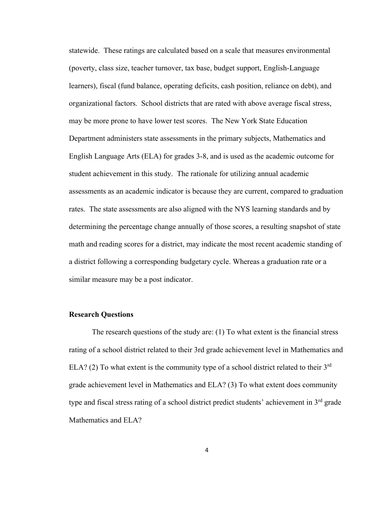statewide. These ratings are calculated based on a scale that measures environmental (poverty, class size, teacher turnover, tax base, budget support, English-Language learners), fiscal (fund balance, operating deficits, cash position, reliance on debt), and organizational factors. School districts that are rated with above average fiscal stress, may be more prone to have lower test scores. The New York State Education Department administers state assessments in the primary subjects, Mathematics and English Language Arts (ELA) for grades 3-8, and is used as the academic outcome for student achievement in this study. The rationale for utilizing annual academic assessments as an academic indicator is because they are current, compared to graduation rates. The state assessments are also aligned with the NYS learning standards and by determining the percentage change annually of those scores, a resulting snapshot of state math and reading scores for a district, may indicate the most recent academic standing of a district following a corresponding budgetary cycle. Whereas a graduation rate or a similar measure may be a post indicator.

#### **Research Questions**

 The research questions of the study are: (1) To what extent is the financial stress rating of a school district related to their 3rd grade achievement level in Mathematics and ELA? (2) To what extent is the community type of a school district related to their  $3<sup>rd</sup>$ grade achievement level in Mathematics and ELA? (3) To what extent does community type and fiscal stress rating of a school district predict students' achievement in  $3<sup>rd</sup>$  grade Mathematics and ELA?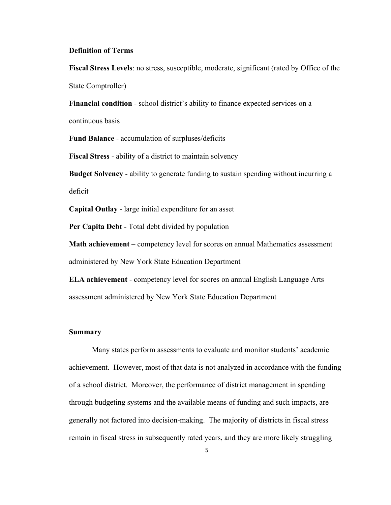#### **Definition of Terms**

**Fiscal Stress Levels**: no stress, susceptible, moderate, significant (rated by Office of the State Comptroller)

**Financial condition** - school district's ability to finance expected services on a continuous basis

**Fund Balance** - accumulation of surpluses/deficits

**Fiscal Stress** - ability of a district to maintain solvency

**Budget Solvency** - ability to generate funding to sustain spending without incurring a deficit

**Capital Outlay** - large initial expenditure for an asset

**Per Capita Debt** - Total debt divided by population

**Math achievement** – competency level for scores on annual Mathematics assessment administered by New York State Education Department

**ELA achievement** - competency level for scores on annual English Language Arts assessment administered by New York State Education Department

#### **Summary**

Many states perform assessments to evaluate and monitor students' academic achievement. However, most of that data is not analyzed in accordance with the funding of a school district. Moreover, the performance of district management in spending through budgeting systems and the available means of funding and such impacts, are generally not factored into decision-making. The majority of districts in fiscal stress remain in fiscal stress in subsequently rated years, and they are more likely struggling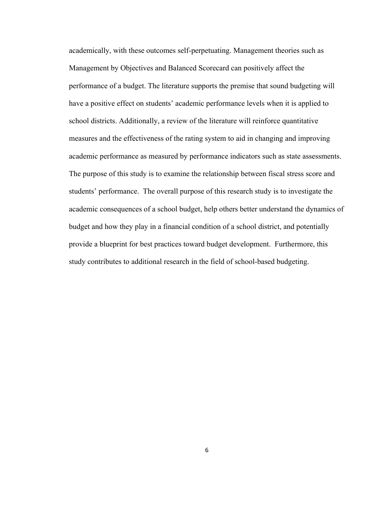academically, with these outcomes self-perpetuating. Management theories such as Management by Objectives and Balanced Scorecard can positively affect the performance of a budget. The literature supports the premise that sound budgeting will have a positive effect on students' academic performance levels when it is applied to school districts. Additionally, a review of the literature will reinforce quantitative measures and the effectiveness of the rating system to aid in changing and improving academic performance as measured by performance indicators such as state assessments. The purpose of this study is to examine the relationship between fiscal stress score and students' performance. The overall purpose of this research study is to investigate the academic consequences of a school budget, help others better understand the dynamics of budget and how they play in a financial condition of a school district, and potentially provide a blueprint for best practices toward budget development. Furthermore, this study contributes to additional research in the field of school-based budgeting.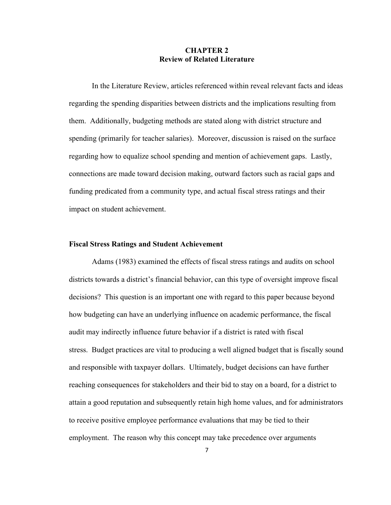# **CHAPTER 2 Review of Related Literature**

In the Literature Review, articles referenced within reveal relevant facts and ideas regarding the spending disparities between districts and the implications resulting from them. Additionally, budgeting methods are stated along with district structure and spending (primarily for teacher salaries). Moreover, discussion is raised on the surface regarding how to equalize school spending and mention of achievement gaps. Lastly, connections are made toward decision making, outward factors such as racial gaps and funding predicated from a community type, and actual fiscal stress ratings and their impact on student achievement.

#### **Fiscal Stress Ratings and Student Achievement**

Adams (1983) examined the effects of fiscal stress ratings and audits on school districts towards a district's financial behavior, can this type of oversight improve fiscal decisions? This question is an important one with regard to this paper because beyond how budgeting can have an underlying influence on academic performance, the fiscal audit may indirectly influence future behavior if a district is rated with fiscal stress. Budget practices are vital to producing a well aligned budget that is fiscally sound and responsible with taxpayer dollars. Ultimately, budget decisions can have further reaching consequences for stakeholders and their bid to stay on a board, for a district to attain a good reputation and subsequently retain high home values, and for administrators to receive positive employee performance evaluations that may be tied to their employment. The reason why this concept may take precedence over arguments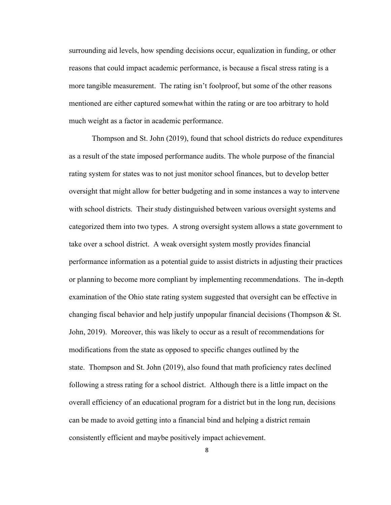surrounding aid levels, how spending decisions occur, equalization in funding, or other reasons that could impact academic performance, is because a fiscal stress rating is a more tangible measurement. The rating isn't foolproof, but some of the other reasons mentioned are either captured somewhat within the rating or are too arbitrary to hold much weight as a factor in academic performance.

Thompson and St. John (2019), found that school districts do reduce expenditures as a result of the state imposed performance audits. The whole purpose of the financial rating system for states was to not just monitor school finances, but to develop better oversight that might allow for better budgeting and in some instances a way to intervene with school districts. Their study distinguished between various oversight systems and categorized them into two types. A strong oversight system allows a state government to take over a school district. A weak oversight system mostly provides financial performance information as a potential guide to assist districts in adjusting their practices or planning to become more compliant by implementing recommendations. The in-depth examination of the Ohio state rating system suggested that oversight can be effective in changing fiscal behavior and help justify unpopular financial decisions (Thompson  $\&$  St. John, 2019). Moreover, this was likely to occur as a result of recommendations for modifications from the state as opposed to specific changes outlined by the state. Thompson and St. John (2019), also found that math proficiency rates declined following a stress rating for a school district. Although there is a little impact on the overall efficiency of an educational program for a district but in the long run, decisions can be made to avoid getting into a financial bind and helping a district remain consistently efficient and maybe positively impact achievement.

8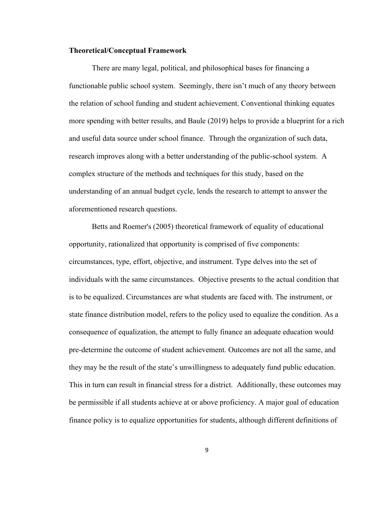#### **Theoretical/Conceptual Framework**

There are many legal, political, and philosophical bases for financing a functionable public school system. Seemingly, there isn't much of any theory between the relation of school funding and student achievement. Conventional thinking equates more spending with better results, and Baule (2019) helps to provide a blueprint for a rich and useful data source under school finance. Through the organization of such data, research improves along with a better understanding of the public-school system. A complex structure of the methods and techniques for this study, based on the understanding of an annual budget cycle, lends the research to attempt to answer the aforementioned research questions.

Betts and Roemer's (2005) theoretical framework of equality of educational opportunity, rationalized that opportunity is comprised of five components: circumstances, type, effort, objective, and instrument. Type delves into the set of individuals with the same circumstances. Objective presents to the actual condition that is to be equalized. Circumstances are what students are faced with. The instrument, or state finance distribution model, refers to the policy used to equalize the condition. As a consequence of equalization, the attempt to fully finance an adequate education would pre-determine the outcome of student achievement. Outcomes are not all the same, and they may be the result of the state's unwillingness to adequately fund public education. This in turn can result in financial stress for a district. Additionally, these outcomes may be permissible if all students achieve at or above proficiency. A major goal of education finance policy is to equalize opportunities for students, although different definitions of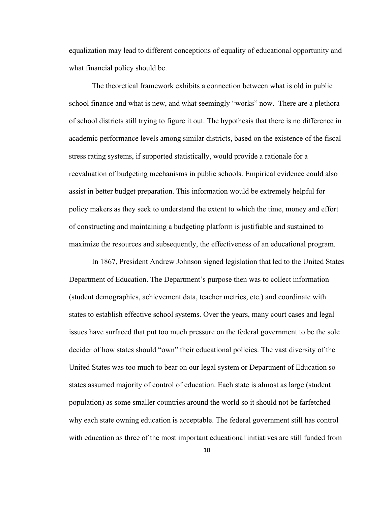equalization may lead to different conceptions of equality of educational opportunity and what financial policy should be.

The theoretical framework exhibits a connection between what is old in public school finance and what is new, and what seemingly "works" now. There are a plethora of school districts still trying to figure it out. The hypothesis that there is no difference in academic performance levels among similar districts, based on the existence of the fiscal stress rating systems, if supported statistically, would provide a rationale for a reevaluation of budgeting mechanisms in public schools. Empirical evidence could also assist in better budget preparation. This information would be extremely helpful for policy makers as they seek to understand the extent to which the time, money and effort of constructing and maintaining a budgeting platform is justifiable and sustained to maximize the resources and subsequently, the effectiveness of an educational program.

In 1867, President Andrew Johnson signed legislation that led to the United States Department of Education. The Department's purpose then was to collect information (student demographics, achievement data, teacher metrics, etc.) and coordinate with states to establish effective school systems. Over the years, many court cases and legal issues have surfaced that put too much pressure on the federal government to be the sole decider of how states should "own" their educational policies. The vast diversity of the United States was too much to bear on our legal system or Department of Education so states assumed majority of control of education. Each state is almost as large (student population) as some smaller countries around the world so it should not be farfetched why each state owning education is acceptable. The federal government still has control with education as three of the most important educational initiatives are still funded from

10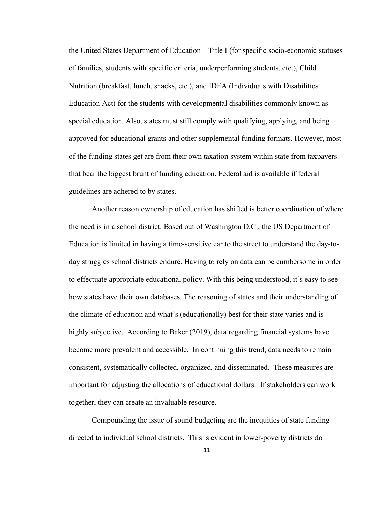the United States Department of Education – Title I (for specific socio-economic statuses of families, students with specific criteria, underperforming students, etc.), Child Nutrition (breakfast, lunch, snacks, etc.), and IDEA (Individuals with Disabilities Education Act) for the students with developmental disabilities commonly known as special education. Also, states must still comply with qualifying, applying, and being approved for educational grants and other supplemental funding formats. However, most of the funding states get are from their own taxation system within state from taxpayers that bear the biggest brunt of funding education. Federal aid is available if federal guidelines are adhered to by states.

 Another reason ownership of education has shifted is better coordination of where the need is in a school district. Based out of Washington D.C., the US Department of Education is limited in having a time-sensitive ear to the street to understand the day-today struggles school districts endure. Having to rely on data can be cumbersome in order to effectuate appropriate educational policy. With this being understood, it's easy to see how states have their own databases. The reasoning of states and their understanding of the climate of education and what's (educationally) best for their state varies and is highly subjective. According to Baker (2019), data regarding financial systems have become more prevalent and accessible. In continuing this trend, data needs to remain consistent, systematically collected, organized, and disseminated. These measures are important for adjusting the allocations of educational dollars. If stakeholders can work together, they can create an invaluable resource.

Compounding the issue of sound budgeting are the inequities of state funding directed to individual school districts. This is evident in lower-poverty districts do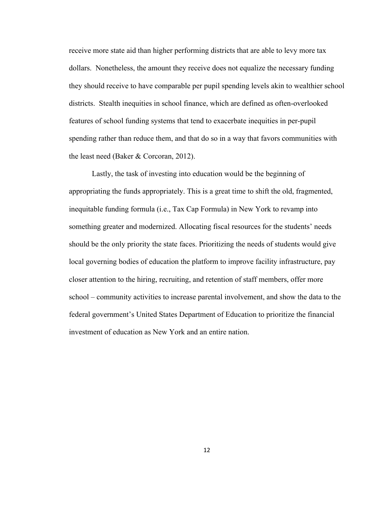receive more state aid than higher performing districts that are able to levy more tax dollars. Nonetheless, the amount they receive does not equalize the necessary funding they should receive to have comparable per pupil spending levels akin to wealthier school districts. Stealth inequities in school finance, which are defined as often-overlooked features of school funding systems that tend to exacerbate inequities in per-pupil spending rather than reduce them, and that do so in a way that favors communities with the least need (Baker & Corcoran, 2012).

Lastly, the task of investing into education would be the beginning of appropriating the funds appropriately. This is a great time to shift the old, fragmented, inequitable funding formula (i.e., Tax Cap Formula) in New York to revamp into something greater and modernized. Allocating fiscal resources for the students' needs should be the only priority the state faces. Prioritizing the needs of students would give local governing bodies of education the platform to improve facility infrastructure, pay closer attention to the hiring, recruiting, and retention of staff members, offer more school – community activities to increase parental involvement, and show the data to the federal government's United States Department of Education to prioritize the financial investment of education as New York and an entire nation.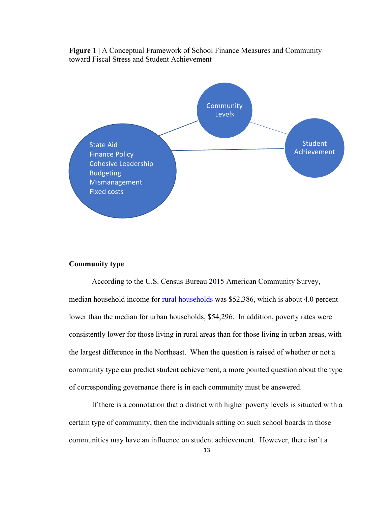



#### **Community type**

According to the U.S. Census Bureau 2015 American Community Survey, median household income for [rural households](https://www.census.gov/library/publications/2016/acs/acsgeo-1.html) was \$52,386, which is about 4.0 percent lower than the median for urban households, \$54,296. In addition, poverty rates were consistently lower for those living in rural areas than for those living in urban areas, with the largest difference in the Northeast. When the question is raised of whether or not a community type can predict student achievement, a more pointed question about the type of corresponding governance there is in each community must be answered.

If there is a connotation that a district with higher poverty levels is situated with a certain type of community, then the individuals sitting on such school boards in those communities may have an influence on student achievement. However, there isn't a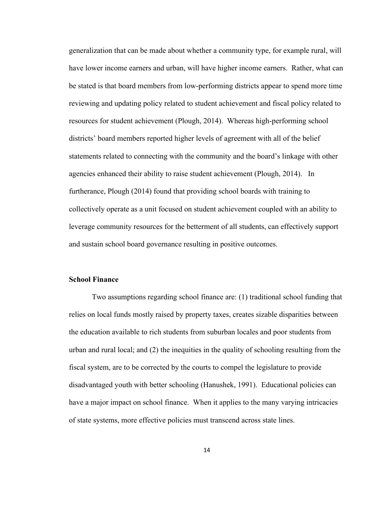generalization that can be made about whether a community type, for example rural, will have lower income earners and urban, will have higher income earners. Rather, what can be stated is that board members from low-performing districts appear to spend more time reviewing and updating policy related to student achievement and fiscal policy related to resources for student achievement (Plough, 2014). Whereas high-performing school districts' board members reported higher levels of agreement with all of the belief statements related to connecting with the community and the board's linkage with other agencies enhanced their ability to raise student achievement (Plough, 2014). In furtherance, Plough (2014) found that providing school boards with training to collectively operate as a unit focused on student achievement coupled with an ability to leverage community resources for the betterment of all students, can effectively support and sustain school board governance resulting in positive outcomes.

### **School Finance**

 Two assumptions regarding school finance are: (1) traditional school funding that relies on local funds mostly raised by property taxes, creates sizable disparities between the education available to rich students from suburban locales and poor students from urban and rural local; and (2) the inequities in the quality of schooling resulting from the fiscal system, are to be corrected by the courts to compel the legislature to provide disadvantaged youth with better schooling (Hanushek, 1991). Educational policies can have a major impact on school finance. When it applies to the many varying intricacies of state systems, more effective policies must transcend across state lines.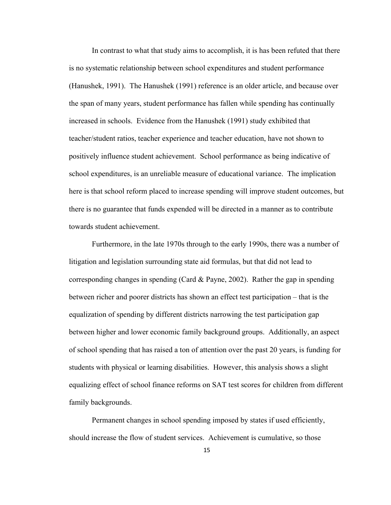In contrast to what that study aims to accomplish, it is has been refuted that there is no systematic relationship between school expenditures and student performance (Hanushek, 1991). The Hanushek (1991) reference is an older article, and because over the span of many years, student performance has fallen while spending has continually increased in schools. Evidence from the Hanushek (1991) study exhibited that teacher/student ratios, teacher experience and teacher education, have not shown to positively influence student achievement. School performance as being indicative of school expenditures, is an unreliable measure of educational variance. The implication here is that school reform placed to increase spending will improve student outcomes, but there is no guarantee that funds expended will be directed in a manner as to contribute towards student achievement.

 Furthermore, in the late 1970s through to the early 1990s, there was a number of litigation and legislation surrounding state aid formulas, but that did not lead to corresponding changes in spending (Card & Payne, 2002). Rather the gap in spending between richer and poorer districts has shown an effect test participation – that is the equalization of spending by different districts narrowing the test participation gap between higher and lower economic family background groups. Additionally, an aspect of school spending that has raised a ton of attention over the past 20 years, is funding for students with physical or learning disabilities. However, this analysis shows a slight equalizing effect of school finance reforms on SAT test scores for children from different family backgrounds.

 Permanent changes in school spending imposed by states if used efficiently, should increase the flow of student services. Achievement is cumulative, so those

15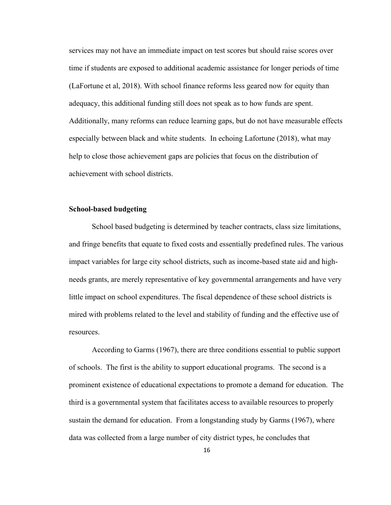services may not have an immediate impact on test scores but should raise scores over time if students are exposed to additional academic assistance for longer periods of time (LaFortune et al, 2018). With school finance reforms less geared now for equity than adequacy, this additional funding still does not speak as to how funds are spent. Additionally, many reforms can reduce learning gaps, but do not have measurable effects especially between black and white students. In echoing Lafortune (2018), what may help to close those achievement gaps are policies that focus on the distribution of achievement with school districts.

#### **School-based budgeting**

School based budgeting is determined by teacher contracts, class size limitations, and fringe benefits that equate to fixed costs and essentially predefined rules. The various impact variables for large city school districts, such as income-based state aid and highneeds grants, are merely representative of key governmental arrangements and have very little impact on school expenditures. The fiscal dependence of these school districts is mired with problems related to the level and stability of funding and the effective use of resources.

According to Garms (1967), there are three conditions essential to public support of schools. The first is the ability to support educational programs. The second is a prominent existence of educational expectations to promote a demand for education. The third is a governmental system that facilitates access to available resources to properly sustain the demand for education. From a longstanding study by Garms (1967), where data was collected from a large number of city district types, he concludes that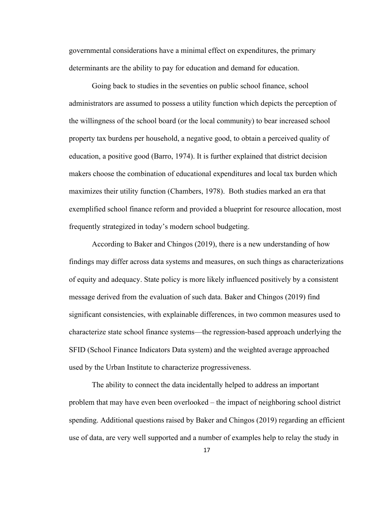governmental considerations have a minimal effect on expenditures, the primary determinants are the ability to pay for education and demand for education.

Going back to studies in the seventies on public school finance, school administrators are assumed to possess a utility function which depicts the perception of the willingness of the school board (or the local community) to bear increased school property tax burdens per household, a negative good, to obtain a perceived quality of education, a positive good (Barro, 1974). It is further explained that district decision makers choose the combination of educational expenditures and local tax burden which maximizes their utility function (Chambers, 1978). Both studies marked an era that exemplified school finance reform and provided a blueprint for resource allocation, most frequently strategized in today's modern school budgeting.

 According to Baker and Chingos (2019), there is a new understanding of how findings may differ across data systems and measures, on such things as characterizations of equity and adequacy. State policy is more likely influenced positively by a consistent message derived from the evaluation of such data. Baker and Chingos (2019) find significant consistencies, with explainable differences, in two common measures used to characterize state school finance systems—the regression-based approach underlying the SFID (School Finance Indicators Data system) and the weighted average approached used by the Urban Institute to characterize progressiveness.

The ability to connect the data incidentally helped to address an important problem that may have even been overlooked – the impact of neighboring school district spending. Additional questions raised by Baker and Chingos (2019) regarding an efficient use of data, are very well supported and a number of examples help to relay the study in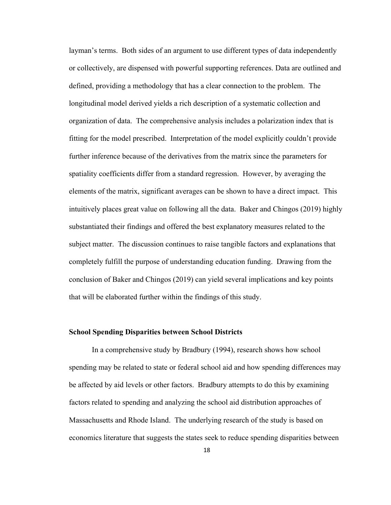layman's terms. Both sides of an argument to use different types of data independently or collectively, are dispensed with powerful supporting references. Data are outlined and defined, providing a methodology that has a clear connection to the problem. The longitudinal model derived yields a rich description of a systematic collection and organization of data. The comprehensive analysis includes a polarization index that is fitting for the model prescribed. Interpretation of the model explicitly couldn't provide further inference because of the derivatives from the matrix since the parameters for spatiality coefficients differ from a standard regression. However, by averaging the elements of the matrix, significant averages can be shown to have a direct impact. This intuitively places great value on following all the data. Baker and Chingos (2019) highly substantiated their findings and offered the best explanatory measures related to the subject matter. The discussion continues to raise tangible factors and explanations that completely fulfill the purpose of understanding education funding. Drawing from the conclusion of Baker and Chingos (2019) can yield several implications and key points that will be elaborated further within the findings of this study.

### **School Spending Disparities between School Districts**

In a comprehensive study by Bradbury (1994), research shows how school spending may be related to state or federal school aid and how spending differences may be affected by aid levels or other factors. Bradbury attempts to do this by examining factors related to spending and analyzing the school aid distribution approaches of Massachusetts and Rhode Island. The underlying research of the study is based on economics literature that suggests the states seek to reduce spending disparities between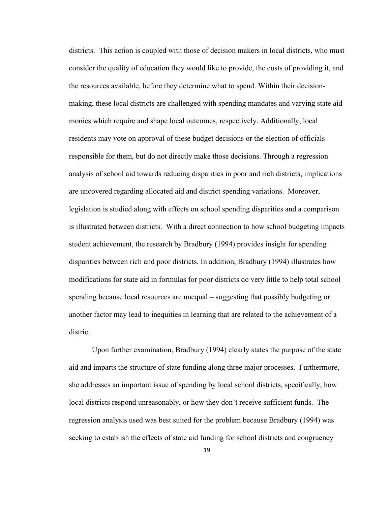districts. This action is coupled with those of decision makers in local districts, who must consider the quality of education they would like to provide, the costs of providing it, and the resources available, before they determine what to spend. Within their decisionmaking, these local districts are challenged with spending mandates and varying state aid monies which require and shape local outcomes, respectively. Additionally, local residents may vote on approval of these budget decisions or the election of officials responsible for them, but do not directly make those decisions. Through a regression analysis of school aid towards reducing disparities in poor and rich districts, implications are uncovered regarding allocated aid and district spending variations. Moreover, legislation is studied along with effects on school spending disparities and a comparison is illustrated between districts. With a direct connection to how school budgeting impacts student achievement, the research by Bradbury (1994) provides insight for spending disparities between rich and poor districts. In addition, Bradbury (1994) illustrates how modifications for state aid in formulas for poor districts do very little to help total school spending because local resources are unequal – suggesting that possibly budgeting or another factor may lead to inequities in learning that are related to the achievement of a district.

Upon further examination, Bradbury (1994) clearly states the purpose of the state aid and imparts the structure of state funding along three major processes. Furthermore, she addresses an important issue of spending by local school districts, specifically, how local districts respond unreasonably, or how they don't receive sufficient funds. The regression analysis used was best suited for the problem because Bradbury (1994) was seeking to establish the effects of state aid funding for school districts and congruency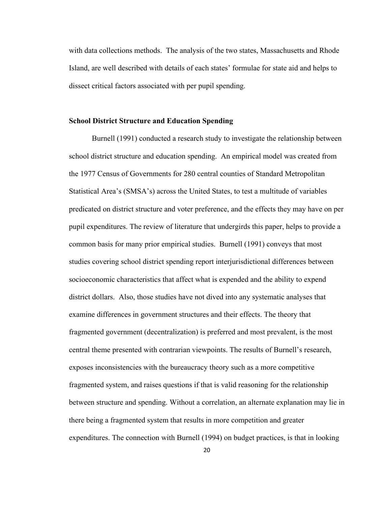with data collections methods. The analysis of the two states, Massachusetts and Rhode Island, are well described with details of each states' formulae for state aid and helps to dissect critical factors associated with per pupil spending.

#### **School District Structure and Education Spending**

Burnell (1991) conducted a research study to investigate the relationship between school district structure and education spending. An empirical model was created from the 1977 Census of Governments for 280 central counties of Standard Metropolitan Statistical Area's (SMSA's) across the United States, to test a multitude of variables predicated on district structure and voter preference, and the effects they may have on per pupil expenditures. The review of literature that undergirds this paper, helps to provide a common basis for many prior empirical studies. Burnell (1991) conveys that most studies covering school district spending report interjurisdictional differences between socioeconomic characteristics that affect what is expended and the ability to expend district dollars. Also, those studies have not dived into any systematic analyses that examine differences in government structures and their effects. The theory that fragmented government (decentralization) is preferred and most prevalent, is the most central theme presented with contrarian viewpoints. The results of Burnell's research, exposes inconsistencies with the bureaucracy theory such as a more competitive fragmented system, and raises questions if that is valid reasoning for the relationship between structure and spending. Without a correlation, an alternate explanation may lie in there being a fragmented system that results in more competition and greater expenditures. The connection with Burnell (1994) on budget practices, is that in looking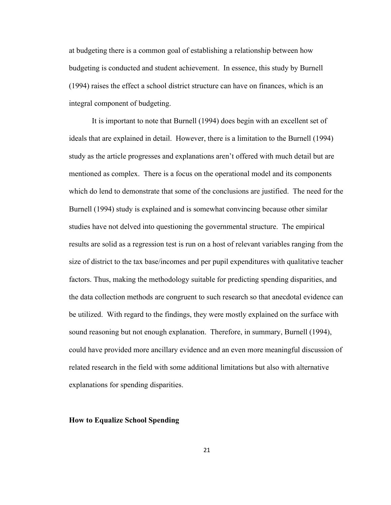at budgeting there is a common goal of establishing a relationship between how budgeting is conducted and student achievement. In essence, this study by Burnell (1994) raises the effect a school district structure can have on finances, which is an integral component of budgeting.

It is important to note that Burnell (1994) does begin with an excellent set of ideals that are explained in detail. However, there is a limitation to the Burnell (1994) study as the article progresses and explanations aren't offered with much detail but are mentioned as complex. There is a focus on the operational model and its components which do lend to demonstrate that some of the conclusions are justified. The need for the Burnell (1994) study is explained and is somewhat convincing because other similar studies have not delved into questioning the governmental structure. The empirical results are solid as a regression test is run on a host of relevant variables ranging from the size of district to the tax base/incomes and per pupil expenditures with qualitative teacher factors. Thus, making the methodology suitable for predicting spending disparities, and the data collection methods are congruent to such research so that anecdotal evidence can be utilized. With regard to the findings, they were mostly explained on the surface with sound reasoning but not enough explanation. Therefore, in summary, Burnell (1994), could have provided more ancillary evidence and an even more meaningful discussion of related research in the field with some additional limitations but also with alternative explanations for spending disparities.

## **How to Equalize School Spending**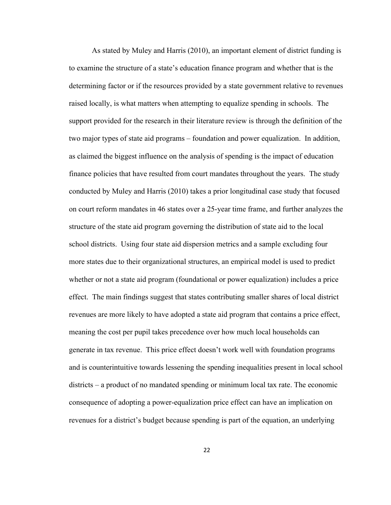As stated by Muley and Harris (2010), an important element of district funding is to examine the structure of a state's education finance program and whether that is the determining factor or if the resources provided by a state government relative to revenues raised locally, is what matters when attempting to equalize spending in schools. The support provided for the research in their literature review is through the definition of the two major types of state aid programs – foundation and power equalization. In addition, as claimed the biggest influence on the analysis of spending is the impact of education finance policies that have resulted from court mandates throughout the years. The study conducted by Muley and Harris (2010) takes a prior longitudinal case study that focused on court reform mandates in 46 states over a 25-year time frame, and further analyzes the structure of the state aid program governing the distribution of state aid to the local school districts. Using four state aid dispersion metrics and a sample excluding four more states due to their organizational structures, an empirical model is used to predict whether or not a state aid program (foundational or power equalization) includes a price effect. The main findings suggest that states contributing smaller shares of local district revenues are more likely to have adopted a state aid program that contains a price effect, meaning the cost per pupil takes precedence over how much local households can generate in tax revenue. This price effect doesn't work well with foundation programs and is counterintuitive towards lessening the spending inequalities present in local school districts – a product of no mandated spending or minimum local tax rate. The economic consequence of adopting a power-equalization price effect can have an implication on revenues for a district's budget because spending is part of the equation, an underlying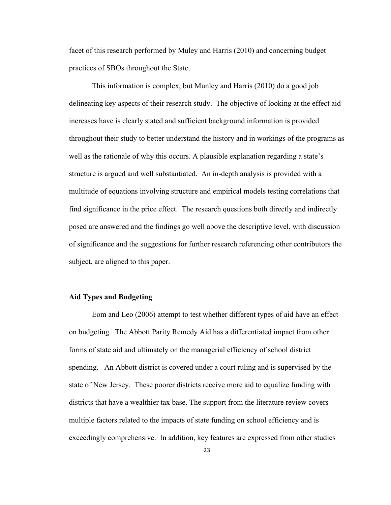facet of this research performed by Muley and Harris (2010) and concerning budget practices of SBOs throughout the State.

This information is complex, but Munley and Harris (2010) do a good job delineating key aspects of their research study. The objective of looking at the effect aid increases have is clearly stated and sufficient background information is provided throughout their study to better understand the history and in workings of the programs as well as the rationale of why this occurs. A plausible explanation regarding a state's structure is argued and well substantiated. An in-depth analysis is provided with a multitude of equations involving structure and empirical models testing correlations that find significance in the price effect. The research questions both directly and indirectly posed are answered and the findings go well above the descriptive level, with discussion of significance and the suggestions for further research referencing other contributors the subject, are aligned to this paper.

#### **Aid Types and Budgeting**

Eom and Leo (2006) attempt to test whether different types of aid have an effect on budgeting. The Abbott Parity Remedy Aid has a differentiated impact from other forms of state aid and ultimately on the managerial efficiency of school district spending. An Abbott district is covered under a court ruling and is supervised by the state of New Jersey. These poorer districts receive more aid to equalize funding with districts that have a wealthier tax base. The support from the literature review covers multiple factors related to the impacts of state funding on school efficiency and is exceedingly comprehensive. In addition, key features are expressed from other studies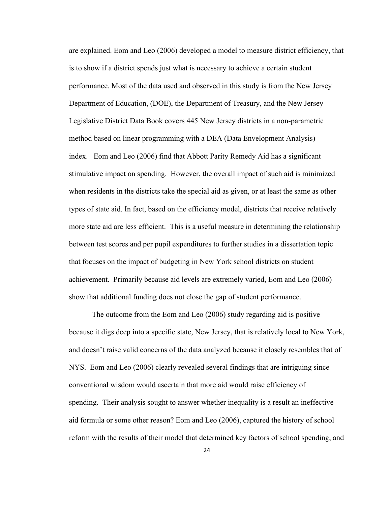are explained. Eom and Leo (2006) developed a model to measure district efficiency, that is to show if a district spends just what is necessary to achieve a certain student performance. Most of the data used and observed in this study is from the New Jersey Department of Education, (DOE), the Department of Treasury, and the New Jersey Legislative District Data Book covers 445 New Jersey districts in a non-parametric method based on linear programming with a DEA (Data Envelopment Analysis) index. Eom and Leo (2006) find that Abbott Parity Remedy Aid has a significant stimulative impact on spending. However, the overall impact of such aid is minimized when residents in the districts take the special aid as given, or at least the same as other types of state aid. In fact, based on the efficiency model, districts that receive relatively more state aid are less efficient. This is a useful measure in determining the relationship between test scores and per pupil expenditures to further studies in a dissertation topic that focuses on the impact of budgeting in New York school districts on student achievement. Primarily because aid levels are extremely varied, Eom and Leo (2006) show that additional funding does not close the gap of student performance.

The outcome from the Eom and Leo (2006) study regarding aid is positive because it digs deep into a specific state, New Jersey, that is relatively local to New York, and doesn't raise valid concerns of the data analyzed because it closely resembles that of NYS. Eom and Leo (2006) clearly revealed several findings that are intriguing since conventional wisdom would ascertain that more aid would raise efficiency of spending. Their analysis sought to answer whether inequality is a result an ineffective aid formula or some other reason? Eom and Leo (2006), captured the history of school reform with the results of their model that determined key factors of school spending, and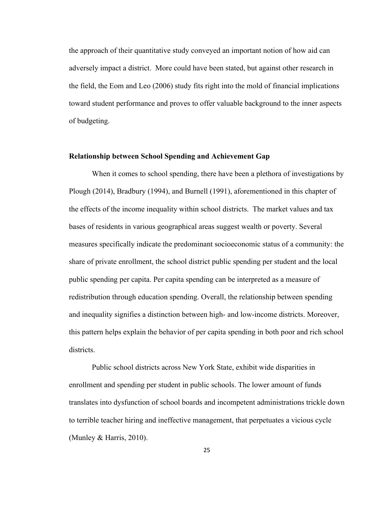the approach of their quantitative study conveyed an important notion of how aid can adversely impact a district. More could have been stated, but against other research in the field, the Eom and Leo (2006) study fits right into the mold of financial implications toward student performance and proves to offer valuable background to the inner aspects of budgeting.

#### **Relationship between School Spending and Achievement Gap**

 When it comes to school spending, there have been a plethora of investigations by Plough (2014), Bradbury (1994), and Burnell (1991), aforementioned in this chapter of the effects of the income inequality within school districts. The market values and tax bases of residents in various geographical areas suggest wealth or poverty. Several measures specifically indicate the predominant socioeconomic status of a community: the share of private enrollment, the school district public spending per student and the local public spending per capita. Per capita spending can be interpreted as a measure of redistribution through education spending. Overall, the relationship between spending and inequality signifies a distinction between high- and low-income districts. Moreover, this pattern helps explain the behavior of per capita spending in both poor and rich school districts.

Public school districts across New York State, exhibit wide disparities in enrollment and spending per student in public schools. The lower amount of funds translates into dysfunction of school boards and incompetent administrations trickle down to terrible teacher hiring and ineffective management, that perpetuates a vicious cycle (Munley & Harris, 2010).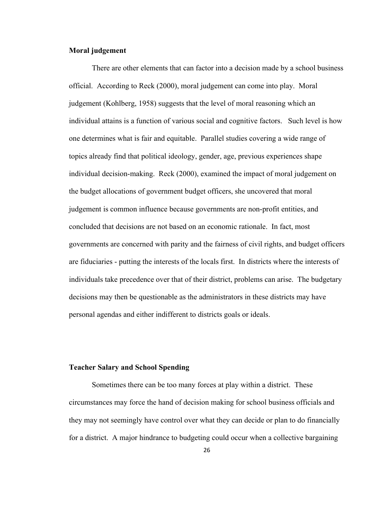#### **Moral judgement**

There are other elements that can factor into a decision made by a school business official. According to Reck (2000), moral judgement can come into play. Moral judgement (Kohlberg, 1958) suggests that the level of moral reasoning which an individual attains is a function of various social and cognitive factors. Such level is how one determines what is fair and equitable. Parallel studies covering a wide range of topics already find that political ideology, gender, age, previous experiences shape individual decision-making. Reck (2000), examined the impact of moral judgement on the budget allocations of government budget officers, she uncovered that moral judgement is common influence because governments are non-profit entities, and concluded that decisions are not based on an economic rationale. In fact, most governments are concerned with parity and the fairness of civil rights, and budget officers are fiduciaries - putting the interests of the locals first. In districts where the interests of individuals take precedence over that of their district, problems can arise. The budgetary decisions may then be questionable as the administrators in these districts may have personal agendas and either indifferent to districts goals or ideals.

#### **Teacher Salary and School Spending**

Sometimes there can be too many forces at play within a district. These circumstances may force the hand of decision making for school business officials and they may not seemingly have control over what they can decide or plan to do financially for a district. A major hindrance to budgeting could occur when a collective bargaining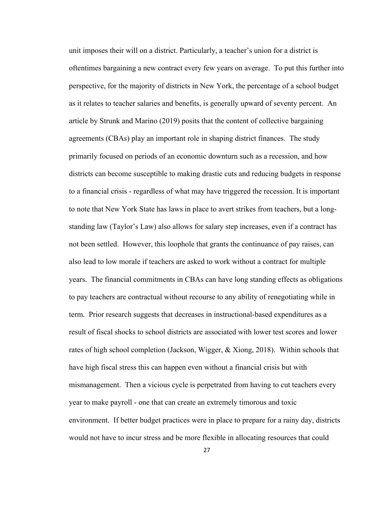unit imposes their will on a district. Particularly, a teacher's union for a district is oftentimes bargaining a new contract every few years on average. To put this further into perspective, for the majority of districts in New York, the percentage of a school budget as it relates to teacher salaries and benefits, is generally upward of seventy percent. An article by Strunk and Marino (2019) posits that the content of collective bargaining agreements (CBAs) play an important role in shaping district finances. The study primarily focused on periods of an economic downturn such as a recession, and how districts can become susceptible to making drastic cuts and reducing budgets in response to a financial crisis - regardless of what may have triggered the recession. It is important to note that New York State has laws in place to avert strikes from teachers, but a longstanding law (Taylor's Law) also allows for salary step increases, even if a contract has not been settled. However, this loophole that grants the continuance of pay raises, can also lead to low morale if teachers are asked to work without a contract for multiple years. The financial commitments in CBAs can have long standing effects as obligations to pay teachers are contractual without recourse to any ability of renegotiating while in term. Prior research suggests that decreases in instructional-based expenditures as a result of fiscal shocks to school districts are associated with lower test scores and lower rates of high school completion (Jackson, Wigger, & Xiong, 2018). Within schools that have high fiscal stress this can happen even without a financial crisis but with mismanagement. Then a vicious cycle is perpetrated from having to cut teachers every year to make payroll - one that can create an extremely timorous and toxic environment. If better budget practices were in place to prepare for a rainy day, districts would not have to incur stress and be more flexible in allocating resources that could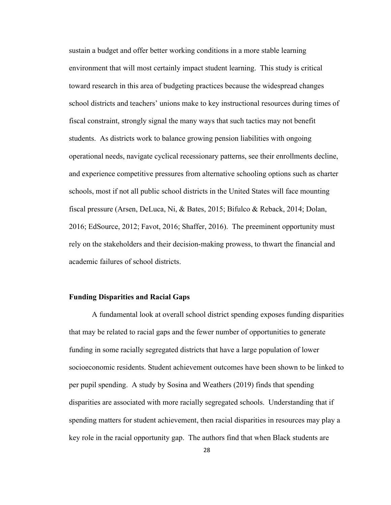sustain a budget and offer better working conditions in a more stable learning environment that will most certainly impact student learning. This study is critical toward research in this area of budgeting practices because the widespread changes school districts and teachers' unions make to key instructional resources during times of fiscal constraint, strongly signal the many ways that such tactics may not benefit students. As districts work to balance growing pension liabilities with ongoing operational needs, navigate cyclical recessionary patterns, see their enrollments decline, and experience competitive pressures from alternative schooling options such as charter schools, most if not all public school districts in the United States will face mounting fiscal pressure (Arsen, DeLuca, Ni, & Bates, 2015; Bifulco & Reback, 2014; Dolan, 2016; EdSource, 2012; Favot, 2016; Shaffer, 2016). The preeminent opportunity must rely on the stakeholders and their decision-making prowess, to thwart the financial and academic failures of school districts.

#### **Funding Disparities and Racial Gaps**

A fundamental look at overall school district spending exposes funding disparities that may be related to racial gaps and the fewer number of opportunities to generate funding in some racially segregated districts that have a large population of lower socioeconomic residents. Student achievement outcomes have been shown to be linked to per pupil spending. A study by Sosina and Weathers (2019) finds that spending disparities are associated with more racially segregated schools. Understanding that if spending matters for student achievement, then racial disparities in resources may play a key role in the racial opportunity gap. The authors find that when Black students are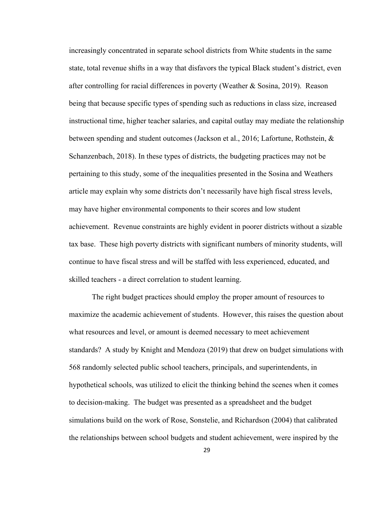increasingly concentrated in separate school districts from White students in the same state, total revenue shifts in a way that disfavors the typical Black student's district, even after controlling for racial differences in poverty (Weather & Sosina, 2019). Reason being that because specific types of spending such as reductions in class size, increased instructional time, higher teacher salaries, and capital outlay may mediate the relationship between spending and student outcomes (Jackson et al., 2016; Lafortune, Rothstein, & Schanzenbach, 2018). In these types of districts, the budgeting practices may not be pertaining to this study, some of the inequalities presented in the Sosina and Weathers article may explain why some districts don't necessarily have high fiscal stress levels, may have higher environmental components to their scores and low student achievement. Revenue constraints are highly evident in poorer districts without a sizable tax base. These high poverty districts with significant numbers of minority students, will continue to have fiscal stress and will be staffed with less experienced, educated, and skilled teachers - a direct correlation to student learning.

The right budget practices should employ the proper amount of resources to maximize the academic achievement of students. However, this raises the question about what resources and level, or amount is deemed necessary to meet achievement standards? A study by Knight and Mendoza (2019) that drew on budget simulations with 568 randomly selected public school teachers, principals, and superintendents, in hypothetical schools, was utilized to elicit the thinking behind the scenes when it comes to decision-making. The budget was presented as a spreadsheet and the budget simulations build on the work of Rose, Sonstelie, and Richardson (2004) that calibrated the relationships between school budgets and student achievement, were inspired by the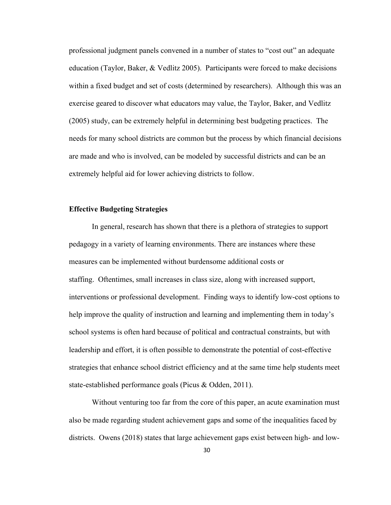professional judgment panels convened in a number of states to "cost out" an adequate education (Taylor, Baker, & Vedlitz 2005). Participants were forced to make decisions within a fixed budget and set of costs (determined by researchers). Although this was an exercise geared to discover what educators may value, the Taylor, Baker, and Vedlitz (2005) study, can be extremely helpful in determining best budgeting practices. The needs for many school districts are common but the process by which financial decisions are made and who is involved, can be modeled by successful districts and can be an extremely helpful aid for lower achieving districts to follow.

## **Effective Budgeting Strategies**

In general, research has shown that there is a plethora of strategies to support pedagogy in a variety of learning environments. There are instances where these measures can be implemented without burdensome additional costs or staffing. Oftentimes, small increases in class size, along with increased support, interventions or professional development. Finding ways to identify low-cost options to help improve the quality of instruction and learning and implementing them in today's school systems is often hard because of political and contractual constraints, but with leadership and effort, it is often possible to demonstrate the potential of cost-effective strategies that enhance school district efficiency and at the same time help students meet state-established performance goals (Picus & Odden, 2011).

Without venturing too far from the core of this paper, an acute examination must also be made regarding student achievement gaps and some of the inequalities faced by districts. Owens (2018) states that large achievement gaps exist between high- and low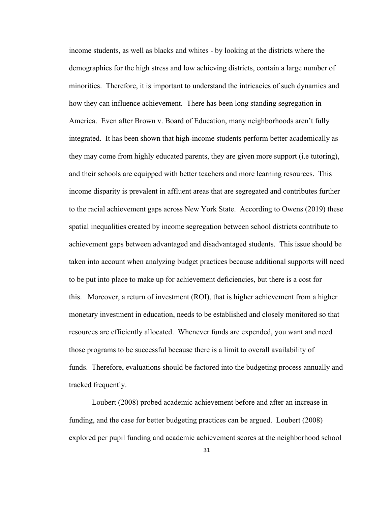income students, as well as blacks and whites - by looking at the districts where the demographics for the high stress and low achieving districts, contain a large number of minorities. Therefore, it is important to understand the intricacies of such dynamics and how they can influence achievement. There has been long standing segregation in America. Even after Brown v. Board of Education, many neighborhoods aren't fully integrated. It has been shown that high-income students perform better academically as they may come from highly educated parents, they are given more support (i.e tutoring), and their schools are equipped with better teachers and more learning resources. This income disparity is prevalent in affluent areas that are segregated and contributes further to the racial achievement gaps across New York State. According to Owens (2019) these spatial inequalities created by income segregation between school districts contribute to achievement gaps between advantaged and disadvantaged students. This issue should be taken into account when analyzing budget practices because additional supports will need to be put into place to make up for achievement deficiencies, but there is a cost for this. Moreover, a return of investment (ROI), that is higher achievement from a higher monetary investment in education, needs to be established and closely monitored so that resources are efficiently allocated. Whenever funds are expended, you want and need those programs to be successful because there is a limit to overall availability of funds. Therefore, evaluations should be factored into the budgeting process annually and tracked frequently.

 Loubert (2008) probed academic achievement before and after an increase in funding, and the case for better budgeting practices can be argued. Loubert (2008) explored per pupil funding and academic achievement scores at the neighborhood school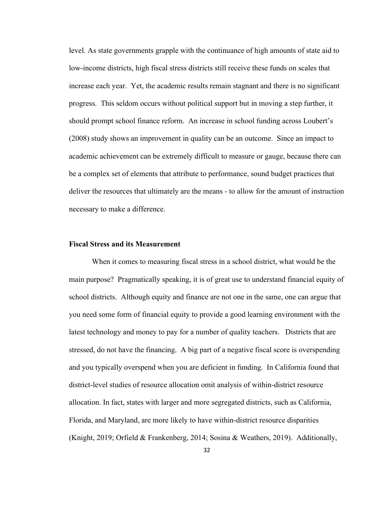level. As state governments grapple with the continuance of high amounts of state aid to low-income districts, high fiscal stress districts still receive these funds on scales that increase each year. Yet, the academic results remain stagnant and there is no significant progress. This seldom occurs without political support but in moving a step further, it should prompt school finance reform. An increase in school funding across Loubert's (2008) study shows an improvement in quality can be an outcome. Since an impact to academic achievement can be extremely difficult to measure or gauge, because there can be a complex set of elements that attribute to performance, sound budget practices that deliver the resources that ultimately are the means - to allow for the amount of instruction necessary to make a difference.

### **Fiscal Stress and its Measurement**

When it comes to measuring fiscal stress in a school district, what would be the main purpose? Pragmatically speaking, it is of great use to understand financial equity of school districts. Although equity and finance are not one in the same, one can argue that you need some form of financial equity to provide a good learning environment with the latest technology and money to pay for a number of quality teachers. Districts that are stressed, do not have the financing. A big part of a negative fiscal score is overspending and you typically overspend when you are deficient in funding. In California found that district-level studies of resource allocation omit analysis of within-district resource allocation. In fact, states with larger and more segregated districts, such as California, Florida, and Maryland, are more likely to have within-district resource disparities (Knight, 2019; Orfield & Frankenberg, 2014; Sosina & Weathers, 2019). Additionally,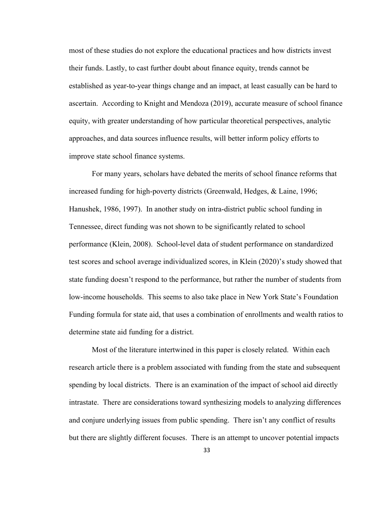most of these studies do not explore the educational practices and how districts invest their funds. Lastly, to cast further doubt about finance equity, trends cannot be established as year-to-year things change and an impact, at least casually can be hard to ascertain. According to Knight and Mendoza (2019), accurate measure of school finance equity, with greater understanding of how particular theoretical perspectives, analytic approaches, and data sources influence results, will better inform policy efforts to improve state school finance systems.

For many years, scholars have debated the merits of school finance reforms that increased funding for high-poverty districts (Greenwald, Hedges, & Laine, 1996; Hanushek, 1986, 1997). In another study on intra-district public school funding in Tennessee, direct funding was not shown to be significantly related to school performance (Klein, 2008). School-level data of student performance on standardized test scores and school average individualized scores, in Klein (2020)'s study showed that state funding doesn't respond to the performance, but rather the number of students from low-income households. This seems to also take place in New York State's Foundation Funding formula for state aid, that uses a combination of enrollments and wealth ratios to determine state aid funding for a district.

Most of the literature intertwined in this paper is closely related. Within each research article there is a problem associated with funding from the state and subsequent spending by local districts. There is an examination of the impact of school aid directly intrastate. There are considerations toward synthesizing models to analyzing differences and conjure underlying issues from public spending. There isn't any conflict of results but there are slightly different focuses. There is an attempt to uncover potential impacts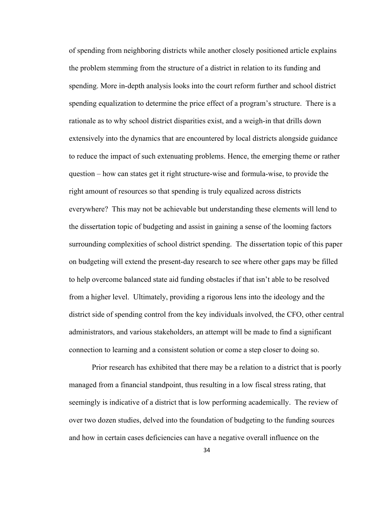of spending from neighboring districts while another closely positioned article explains the problem stemming from the structure of a district in relation to its funding and spending. More in-depth analysis looks into the court reform further and school district spending equalization to determine the price effect of a program's structure. There is a rationale as to why school district disparities exist, and a weigh-in that drills down extensively into the dynamics that are encountered by local districts alongside guidance to reduce the impact of such extenuating problems. Hence, the emerging theme or rather question – how can states get it right structure-wise and formula-wise, to provide the right amount of resources so that spending is truly equalized across districts everywhere? This may not be achievable but understanding these elements will lend to the dissertation topic of budgeting and assist in gaining a sense of the looming factors surrounding complexities of school district spending. The dissertation topic of this paper on budgeting will extend the present-day research to see where other gaps may be filled to help overcome balanced state aid funding obstacles if that isn't able to be resolved from a higher level. Ultimately, providing a rigorous lens into the ideology and the district side of spending control from the key individuals involved, the CFO, other central administrators, and various stakeholders, an attempt will be made to find a significant connection to learning and a consistent solution or come a step closer to doing so.

Prior research has exhibited that there may be a relation to a district that is poorly managed from a financial standpoint, thus resulting in a low fiscal stress rating, that seemingly is indicative of a district that is low performing academically. The review of over two dozen studies, delved into the foundation of budgeting to the funding sources and how in certain cases deficiencies can have a negative overall influence on the

34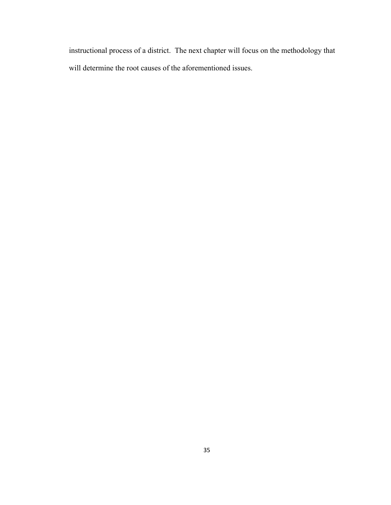instructional process of a district. The next chapter will focus on the methodology that will determine the root causes of the aforementioned issues.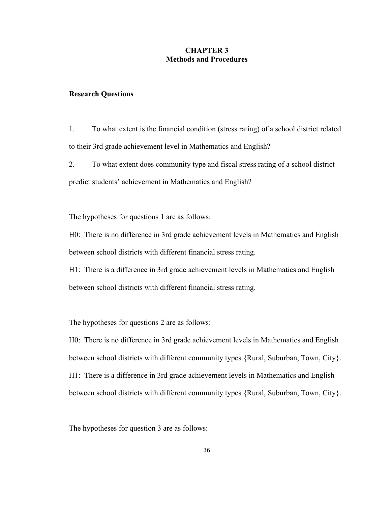## **CHAPTER 3 Methods and Procedures**

#### **Research Questions**

1. To what extent is the financial condition (stress rating) of a school district related to their 3rd grade achievement level in Mathematics and English?

2. To what extent does community type and fiscal stress rating of a school district predict students' achievement in Mathematics and English?

The hypotheses for questions 1 are as follows:

H0: There is no difference in 3rd grade achievement levels in Mathematics and English between school districts with different financial stress rating.

H1: There is a difference in 3rd grade achievement levels in Mathematics and English between school districts with different financial stress rating.

The hypotheses for questions 2 are as follows:

H0: There is no difference in 3rd grade achievement levels in Mathematics and English between school districts with different community types {Rural, Suburban, Town, City}. H1: There is a difference in 3rd grade achievement levels in Mathematics and English between school districts with different community types {Rural, Suburban, Town, City}.

The hypotheses for question 3 are as follows: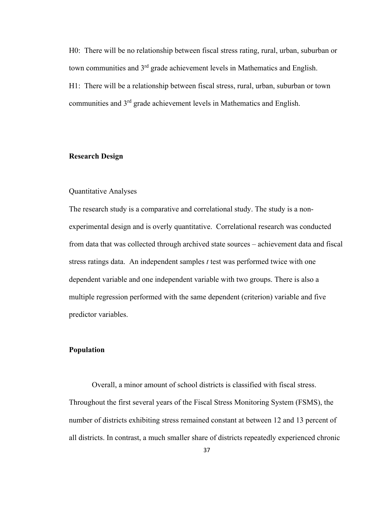H0: There will be no relationship between fiscal stress rating, rural, urban, suburban or town communities and  $3<sup>rd</sup>$  grade achievement levels in Mathematics and English. H1: There will be a relationship between fiscal stress, rural, urban, suburban or town communities and 3rd grade achievement levels in Mathematics and English.

## **Research Design**

## Quantitative Analyses

The research study is a comparative and correlational study. The study is a nonexperimental design and is overly quantitative. Correlational research was conducted from data that was collected through archived state sources – achievement data and fiscal stress ratings data. An independent samples *t* test was performed twice with one dependent variable and one independent variable with two groups. There is also a multiple regression performed with the same dependent (criterion) variable and five predictor variables.

## **Population**

Overall, a minor amount of school districts is classified with fiscal stress. Throughout the first several years of the Fiscal Stress Monitoring System (FSMS), the number of districts exhibiting stress remained constant at between 12 and 13 percent of all districts. In contrast, a much smaller share of districts repeatedly experienced chronic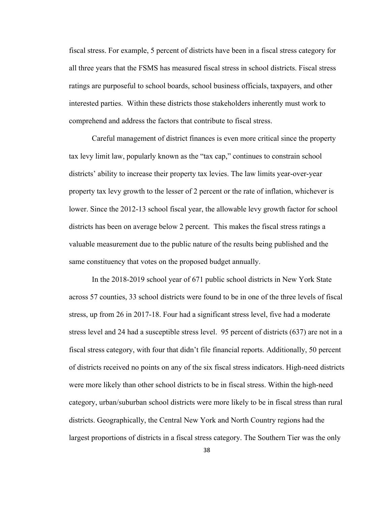fiscal stress. For example, 5 percent of districts have been in a fiscal stress category for all three years that the FSMS has measured fiscal stress in school districts. Fiscal stress ratings are purposeful to school boards, school business officials, taxpayers, and other interested parties. Within these districts those stakeholders inherently must work to comprehend and address the factors that contribute to fiscal stress.

Careful management of district finances is even more critical since the property tax levy limit law, popularly known as the "tax cap," continues to constrain school districts' ability to increase their property tax levies. The law limits year-over-year property tax levy growth to the lesser of 2 percent or the rate of inflation, whichever is lower. Since the 2012-13 school fiscal year, the allowable levy growth factor for school districts has been on average below 2 percent. This makes the fiscal stress ratings a valuable measurement due to the public nature of the results being published and the same constituency that votes on the proposed budget annually.

In the 2018-2019 school year of 671 public school districts in New York State across 57 counties, 33 school districts were found to be in one of the three levels of fiscal stress, up from 26 in 2017-18. Four had a significant stress level, five had a moderate stress level and 24 had a susceptible stress level. 95 percent of districts (637) are not in a fiscal stress category, with four that didn't file financial reports. Additionally, 50 percent of districts received no points on any of the six fiscal stress indicators. High-need districts were more likely than other school districts to be in fiscal stress. Within the high-need category, urban/suburban school districts were more likely to be in fiscal stress than rural districts. Geographically, the Central New York and North Country regions had the largest proportions of districts in a fiscal stress category. The Southern Tier was the only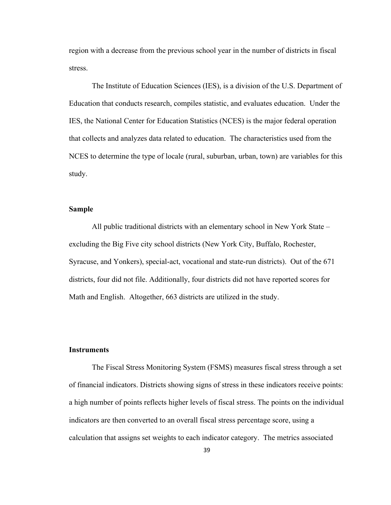region with a decrease from the previous school year in the number of districts in fiscal stress.

The Institute of Education Sciences (IES), is a division of the U.S. Department of Education that conducts research, compiles statistic, and evaluates education. Under the IES, the National Center for Education Statistics (NCES) is the major federal operation that collects and analyzes data related to education. The characteristics used from the NCES to determine the type of locale (rural, suburban, urban, town) are variables for this study.

## **Sample**

All public traditional districts with an elementary school in New York State – excluding the Big Five city school districts (New York City, Buffalo, Rochester, Syracuse, and Yonkers), special-act, vocational and state-run districts). Out of the 671 districts, four did not file. Additionally, four districts did not have reported scores for Math and English. Altogether, 663 districts are utilized in the study.

## **Instruments**

 The Fiscal Stress Monitoring System (FSMS) measures fiscal stress through a set of financial indicators. Districts showing signs of stress in these indicators receive points: a high number of points reflects higher levels of fiscal stress. The points on the individual indicators are then converted to an overall fiscal stress percentage score, using a calculation that assigns set weights to each indicator category. The metrics associated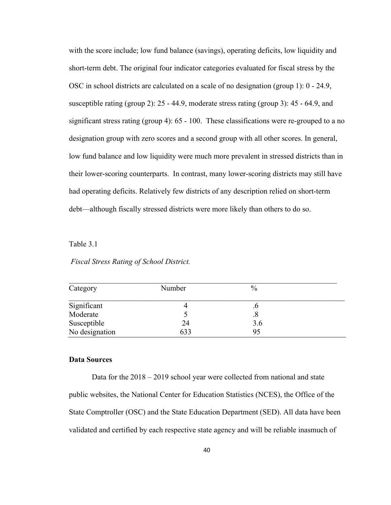with the score include; low fund balance (savings), operating deficits, low liquidity and short-term debt. The original four indicator categories evaluated for fiscal stress by the OSC in school districts are calculated on a scale of no designation (group 1): 0 - 24.9, susceptible rating (group 2): 25 - 44.9, moderate stress rating (group 3): 45 - 64.9, and significant stress rating (group 4): 65 - 100. These classifications were re-grouped to a no designation group with zero scores and a second group with all other scores. In general, low fund balance and low liquidity were much more prevalent in stressed districts than in their lower-scoring counterparts. In contrast, many lower-scoring districts may still have had operating deficits. Relatively few districts of any description relied on short-term debt—although fiscally stressed districts were more likely than others to do so.

### Table 3.1

## *Fiscal Stress Rating of School District.*

| Category       | Number | $\frac{0}{0}$ |  |
|----------------|--------|---------------|--|
| Significant    |        |               |  |
| Moderate       |        | .୪            |  |
| Susceptible    | 24     | 3.6           |  |
| No designation | 633    | 95            |  |

#### **Data Sources**

Data for the 2018 – 2019 school year were collected from national and state public websites, the National Center for Education Statistics (NCES), the Office of the State Comptroller (OSC) and the State Education Department (SED). All data have been validated and certified by each respective state agency and will be reliable inasmuch of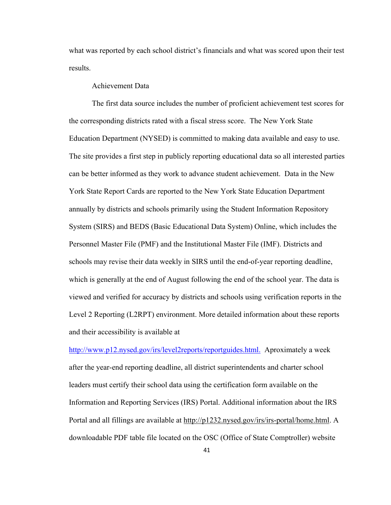what was reported by each school district's financials and what was scored upon their test results.

## Achievement Data

The first data source includes the number of proficient achievement test scores for the corresponding districts rated with a fiscal stress score. The New York State Education Department (NYSED) is committed to making data available and easy to use. The site provides a first step in publicly reporting educational data so all interested parties can be better informed as they work to advance student achievement. Data in the New York State Report Cards are reported to the New York State Education Department annually by districts and schools primarily using the Student Information Repository System (SIRS) and BEDS (Basic Educational Data System) Online, which includes the Personnel Master File (PMF) and the Institutional Master File (IMF). Districts and schools may revise their data weekly in SIRS until the end-of-year reporting deadline, which is generally at the end of August following the end of the school year. The data is viewed and verified for accuracy by districts and schools using verification reports in the Level 2 Reporting (L2RPT) environment. More detailed information about these reports and their accessibility is available at

[http://www.p12.nysed.gov/irs/level2reports/reportguides.html. Aproximately](http://www.p12.nysed.gov/irs/level2reports/reportguides.html.%20%20Aproximately) a week after the year-end reporting deadline, all district superintendents and charter school leaders must certify their school data using the certification form available on the Information and Reporting Services (IRS) Portal. Additional information about the IRS Portal and all fillings are available at http://p1232.nysed.gov/irs/irs-portal/home.html. A downloadable PDF table file located on the OSC (Office of State Comptroller) website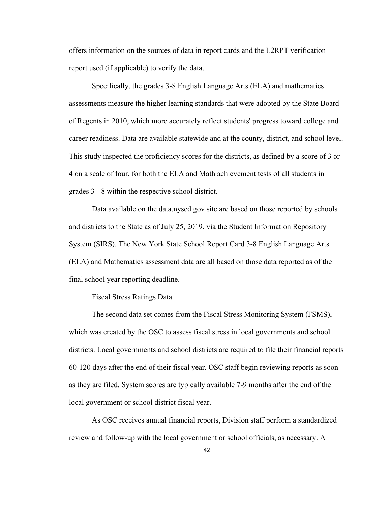offers information on the sources of data in report cards and the L2RPT verification report used (if applicable) to verify the data.

Specifically, the grades 3-8 English Language Arts (ELA) and mathematics assessments measure the higher learning standards that were adopted by the State Board of Regents in 2010, which more accurately reflect students' progress toward college and career readiness. Data are available statewide and at the county, district, and school level. This study inspected the proficiency scores for the districts, as defined by a score of 3 or 4 on a scale of four, for both the ELA and Math achievement tests of all students in grades 3 - 8 within the respective school district.

Data available on the data.nysed.gov site are based on those reported by schools and districts to the State as of July 25, 2019, via the Student Information Repository System (SIRS). The New York State School Report Card 3-8 English Language Arts (ELA) and Mathematics assessment data are all based on those data reported as of the final school year reporting deadline.

#### Fiscal Stress Ratings Data

The second data set comes from the Fiscal Stress Monitoring System (FSMS), which was created by the OSC to assess fiscal stress in local governments and school districts. Local governments and school districts are required to file their financial reports 60-120 days after the end of their fiscal year. OSC staff begin reviewing reports as soon as they are filed. System scores are typically available 7-9 months after the end of the local government or school district fiscal year.

As OSC receives annual financial reports, Division staff perform a standardized review and follow-up with the local government or school officials, as necessary. A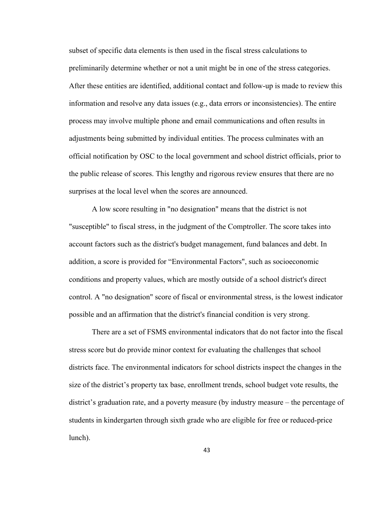subset of specific data elements is then used in the fiscal stress calculations to preliminarily determine whether or not a unit might be in one of the stress categories. After these entities are identified, additional contact and follow-up is made to review this information and resolve any data issues (e.g., data errors or inconsistencies). The entire process may involve multiple phone and email communications and often results in adjustments being submitted by individual entities. The process culminates with an official notification by OSC to the local government and school district officials, prior to the public release of scores. This lengthy and rigorous review ensures that there are no surprises at the local level when the scores are announced.

A low score resulting in "no designation" means that the district is not "susceptible" to fiscal stress, in the judgment of the Comptroller. The score takes into account factors such as the district's budget management, fund balances and debt. In addition, a score is provided for "Environmental Factors", such as socioeconomic conditions and property values, which are mostly outside of a school district's direct control. A "no designation" score of fiscal or environmental stress, is the lowest indicator possible and an affirmation that the district's financial condition is very strong.

There are a set of FSMS environmental indicators that do not factor into the fiscal stress score but do provide minor context for evaluating the challenges that school districts face. The environmental indicators for school districts inspect the changes in the size of the district's property tax base, enrollment trends, school budget vote results, the district's graduation rate, and a poverty measure (by industry measure – the percentage of students in kindergarten through sixth grade who are eligible for free or reduced-price lunch).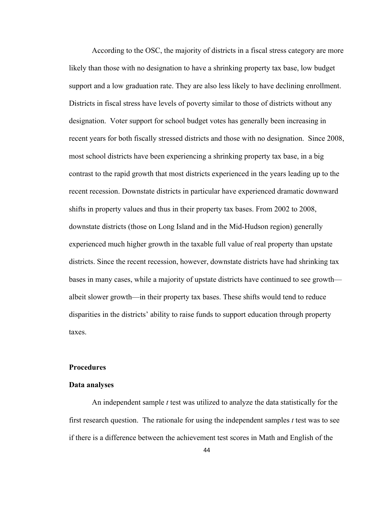According to the OSC, the majority of districts in a fiscal stress category are more likely than those with no designation to have a shrinking property tax base, low budget support and a low graduation rate. They are also less likely to have declining enrollment. Districts in fiscal stress have levels of poverty similar to those of districts without any designation. Voter support for school budget votes has generally been increasing in recent years for both fiscally stressed districts and those with no designation. Since 2008, most school districts have been experiencing a shrinking property tax base, in a big contrast to the rapid growth that most districts experienced in the years leading up to the recent recession. Downstate districts in particular have experienced dramatic downward shifts in property values and thus in their property tax bases. From 2002 to 2008, downstate districts (those on Long Island and in the Mid-Hudson region) generally experienced much higher growth in the taxable full value of real property than upstate districts. Since the recent recession, however, downstate districts have had shrinking tax bases in many cases, while a majority of upstate districts have continued to see growth albeit slower growth—in their property tax bases. These shifts would tend to reduce disparities in the districts' ability to raise funds to support education through property taxes.

## **Procedures**

#### **Data analyses**

An independent sample *t* test was utilized to analyze the data statistically for the first research question. The rationale for using the independent samples *t* test was to see if there is a difference between the achievement test scores in Math and English of the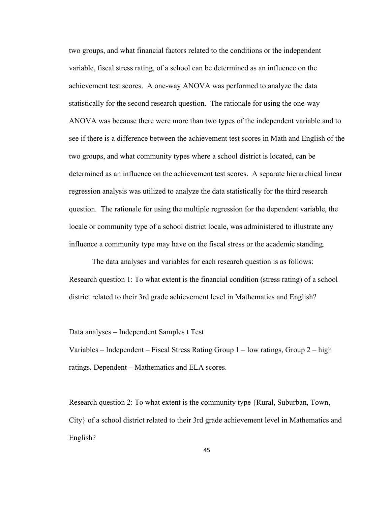two groups, and what financial factors related to the conditions or the independent variable, fiscal stress rating, of a school can be determined as an influence on the achievement test scores. A one-way ANOVA was performed to analyze the data statistically for the second research question. The rationale for using the one-way ANOVA was because there were more than two types of the independent variable and to see if there is a difference between the achievement test scores in Math and English of the two groups, and what community types where a school district is located, can be determined as an influence on the achievement test scores. A separate hierarchical linear regression analysis was utilized to analyze the data statistically for the third research question. The rationale for using the multiple regression for the dependent variable, the locale or community type of a school district locale, was administered to illustrate any influence a community type may have on the fiscal stress or the academic standing.

The data analyses and variables for each research question is as follows: Research question 1: To what extent is the financial condition (stress rating) of a school district related to their 3rd grade achievement level in Mathematics and English?

#### Data analyses – Independent Samples t Test

Variables – Independent – Fiscal Stress Rating Group  $1$  – low ratings, Group  $2$  – high ratings. Dependent – Mathematics and ELA scores.

Research question 2: To what extent is the community type {Rural, Suburban, Town, City} of a school district related to their 3rd grade achievement level in Mathematics and English?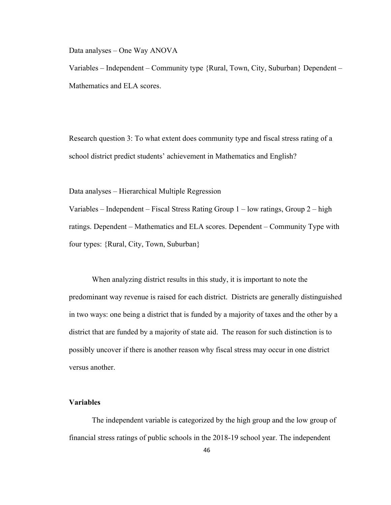Data analyses – One Way ANOVA

Variables – Independent – Community type {Rural, Town, City, Suburban} Dependent – Mathematics and ELA scores.

Research question 3: To what extent does community type and fiscal stress rating of a school district predict students' achievement in Mathematics and English?

Data analyses – Hierarchical Multiple Regression

Variables – Independent – Fiscal Stress Rating Group 1 – low ratings, Group 2 – high ratings. Dependent – Mathematics and ELA scores. Dependent – Community Type with four types: {Rural, City, Town, Suburban}

When analyzing district results in this study, it is important to note the predominant way revenue is raised for each district. Districts are generally distinguished in two ways: one being a district that is funded by a majority of taxes and the other by a district that are funded by a majority of state aid. The reason for such distinction is to possibly uncover if there is another reason why fiscal stress may occur in one district versus another.

## **Variables**

The independent variable is categorized by the high group and the low group of financial stress ratings of public schools in the 2018-19 school year. The independent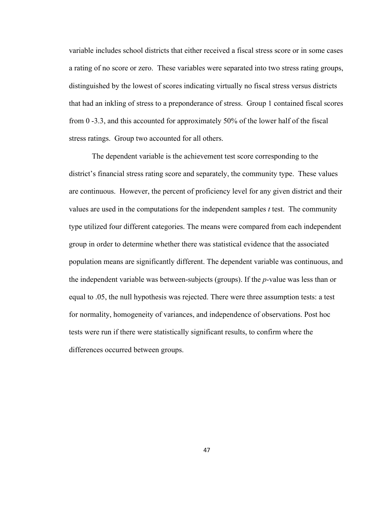variable includes school districts that either received a fiscal stress score or in some cases a rating of no score or zero. These variables were separated into two stress rating groups, distinguished by the lowest of scores indicating virtually no fiscal stress versus districts that had an inkling of stress to a preponderance of stress. Group 1 contained fiscal scores from 0 -3.3, and this accounted for approximately 50% of the lower half of the fiscal stress ratings. Group two accounted for all others.

The dependent variable is the achievement test score corresponding to the district's financial stress rating score and separately, the community type. These values are continuous. However, the percent of proficiency level for any given district and their values are used in the computations for the independent samples *t* test. The community type utilized four different categories. The means were compared from each independent group in order to determine whether there was statistical evidence that the associated population means are significantly different. The dependent variable was continuous, and the independent variable was between-subjects (groups). If the *p*-value was less than or equal to .05, the null hypothesis was rejected. There were three assumption tests: a test for normality, homogeneity of variances, and independence of observations. Post hoc tests were run if there were statistically significant results, to confirm where the differences occurred between groups.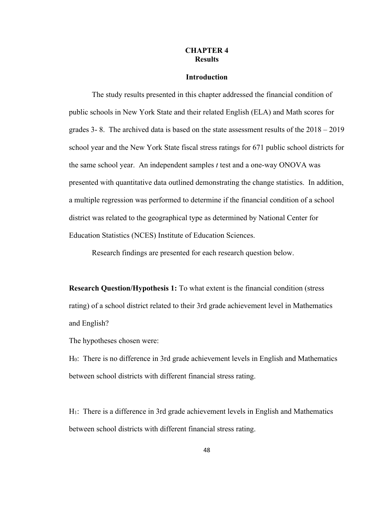## **CHAPTER 4 Results**

#### **Introduction**

The study results presented in this chapter addressed the financial condition of public schools in New York State and their related English (ELA) and Math scores for grades 3- 8. The archived data is based on the state assessment results of the 2018 – 2019 school year and the New York State fiscal stress ratings for 671 public school districts for the same school year. An independent samples *t* test and a one-way ONOVA was presented with quantitative data outlined demonstrating the change statistics. In addition, a multiple regression was performed to determine if the financial condition of a school district was related to the geographical type as determined by National Center for Education Statistics (NCES) Institute of Education Sciences.

Research findings are presented for each research question below.

**Research Question/Hypothesis 1:** To what extent is the financial condition (stress rating) of a school district related to their 3rd grade achievement level in Mathematics and English?

The hypotheses chosen were:

H0: There is no difference in 3rd grade achievement levels in English and Mathematics between school districts with different financial stress rating.

H1: There is a difference in 3rd grade achievement levels in English and Mathematics between school districts with different financial stress rating.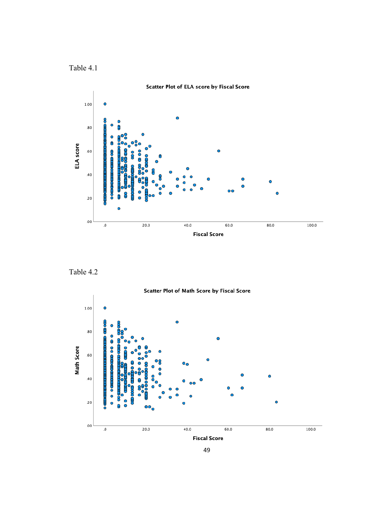Table 4.1



Table 4.2



49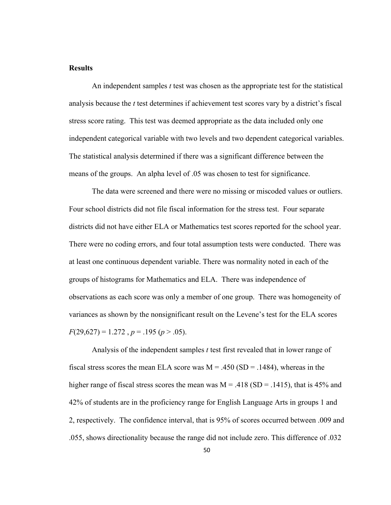### **Results**

 An independent samples *t* test was chosen as the appropriate test for the statistical analysis because the *t* test determines if achievement test scores vary by a district's fiscal stress score rating. This test was deemed appropriate as the data included only one independent categorical variable with two levels and two dependent categorical variables. The statistical analysis determined if there was a significant difference between the means of the groups. An alpha level of .05 was chosen to test for significance.

The data were screened and there were no missing or miscoded values or outliers. Four school districts did not file fiscal information for the stress test. Four separate districts did not have either ELA or Mathematics test scores reported for the school year. There were no coding errors, and four total assumption tests were conducted. There was at least one continuous dependent variable. There was normality noted in each of the groups of histograms for Mathematics and ELA. There was independence of observations as each score was only a member of one group. There was homogeneity of variances as shown by the nonsignificant result on the Levene's test for the ELA scores  $F(29,627) = 1.272$ ,  $p = .195$  ( $p > .05$ ).

 Analysis of the independent samples *t* test first revealed that in lower range of fiscal stress scores the mean ELA score was  $M = .450$  (SD = .1484), whereas in the higher range of fiscal stress scores the mean was  $M = .418$  (SD = .1415), that is 45% and 42% of students are in the proficiency range for English Language Arts in groups 1 and 2, respectively. The confidence interval, that is 95% of scores occurred between .009 and .055, shows directionality because the range did not include zero. This difference of .032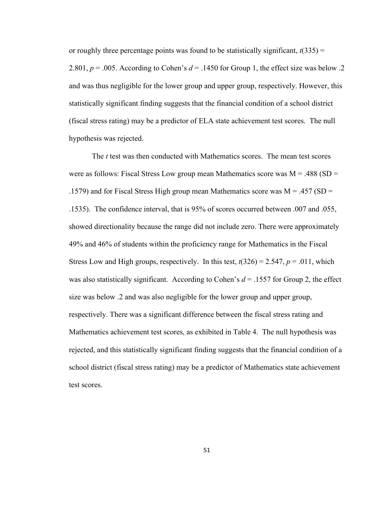or roughly three percentage points was found to be statistically significant,  $t(335)$  = 2.801,  $p = .005$ . According to Cohen's  $d = .1450$  for Group 1, the effect size was below .2 and was thus negligible for the lower group and upper group, respectively. However, this statistically significant finding suggests that the financial condition of a school district (fiscal stress rating) may be a predictor of ELA state achievement test scores. The null hypothesis was rejected.

The *t* test was then conducted with Mathematics scores. The mean test scores were as follows: Fiscal Stress Low group mean Mathematics score was  $M = .488$  (SD = .1579) and for Fiscal Stress High group mean Mathematics score was  $M = .457$  (SD = .1535). The confidence interval, that is 95% of scores occurred between .007 and .055, showed directionality because the range did not include zero. There were approximately 49% and 46% of students within the proficiency range for Mathematics in the Fiscal Stress Low and High groups, respectively. In this test,  $t(326) = 2.547$ ,  $p = .011$ , which was also statistically significant. According to Cohen's  $d = 0.1557$  for Group 2, the effect size was below .2 and was also negligible for the lower group and upper group, respectively. There was a significant difference between the fiscal stress rating and Mathematics achievement test scores, as exhibited in Table 4. The null hypothesis was rejected, and this statistically significant finding suggests that the financial condition of a school district (fiscal stress rating) may be a predictor of Mathematics state achievement test scores.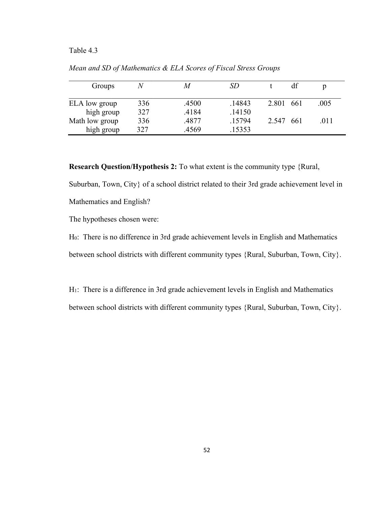## Table 4.3

| Groups         | N   | M     | SD     |           |      | р    |
|----------------|-----|-------|--------|-----------|------|------|
|                |     |       |        |           |      |      |
| ELA low group  | 336 | .4500 | .14843 | 2.801 661 |      | .005 |
| high group     | 327 | .4184 | .14150 |           |      |      |
| Math low group | 336 | .4877 | .15794 | 2.547     | -661 | .011 |
| high group     | 327 | .4569 | .15353 |           |      |      |

*Mean and SD of Mathematics & ELA Scores of Fiscal Stress Groups*

**Research Question/Hypothesis 2:** To what extent is the community type {Rural,

Suburban, Town, City} of a school district related to their 3rd grade achievement level in Mathematics and English?

The hypotheses chosen were:

H0: There is no difference in 3rd grade achievement levels in English and Mathematics between school districts with different community types {Rural, Suburban, Town, City}.

H1: There is a difference in 3rd grade achievement levels in English and Mathematics between school districts with different community types {Rural, Suburban, Town, City}.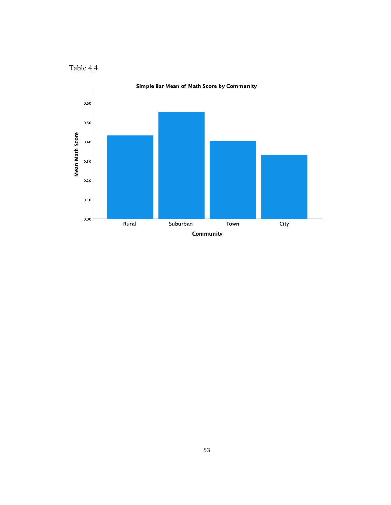



Simple Bar Mean of Math Score by Community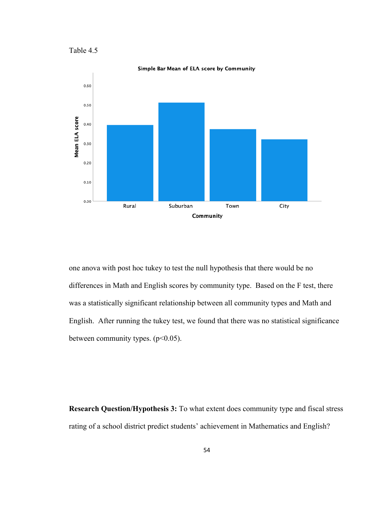Table 4.5



one anova with post hoc tukey to test the null hypothesis that there would be no differences in Math and English scores by community type. Based on the F test, there was a statistically significant relationship between all community types and Math and English. After running the tukey test, we found that there was no statistical significance between community types.  $(p<0.05)$ .

**Research Question/Hypothesis 3:** To what extent does community type and fiscal stress rating of a school district predict students' achievement in Mathematics and English?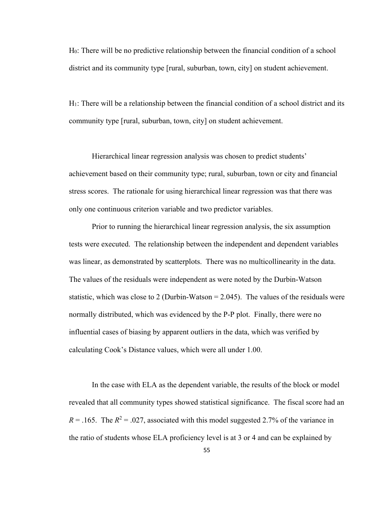H0: There will be no predictive relationship between the financial condition of a school district and its community type [rural, suburban, town, city] on student achievement.

H1: There will be a relationship between the financial condition of a school district and its community type [rural, suburban, town, city] on student achievement.

Hierarchical linear regression analysis was chosen to predict students' achievement based on their community type; rural, suburban, town or city and financial stress scores. The rationale for using hierarchical linear regression was that there was only one continuous criterion variable and two predictor variables.

Prior to running the hierarchical linear regression analysis, the six assumption tests were executed. The relationship between the independent and dependent variables was linear, as demonstrated by scatterplots. There was no multicollinearity in the data. The values of the residuals were independent as were noted by the Durbin-Watson statistic, which was close to 2 (Durbin-Watson  $= 2.045$ ). The values of the residuals were normally distributed, which was evidenced by the P-P plot. Finally, there were no influential cases of biasing by apparent outliers in the data, which was verified by calculating Cook's Distance values, which were all under 1.00.

 In the case with ELA as the dependent variable, the results of the block or model revealed that all community types showed statistical significance. The fiscal score had an  $R = 0.165$ . The  $R^2 = 0.027$ , associated with this model suggested 2.7% of the variance in the ratio of students whose ELA proficiency level is at 3 or 4 and can be explained by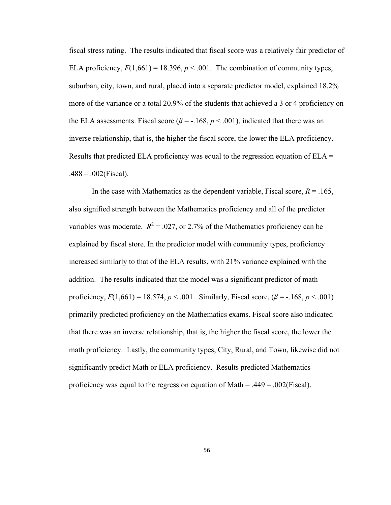fiscal stress rating. The results indicated that fiscal score was a relatively fair predictor of ELA proficiency,  $F(1,661) = 18.396$ ,  $p < .001$ . The combination of community types, suburban, city, town, and rural, placed into a separate predictor model, explained 18.2% more of the variance or a total 20.9% of the students that achieved a 3 or 4 proficiency on the ELA assessments. Fiscal score  $(\beta = -168, p < .001)$ , indicated that there was an inverse relationship, that is, the higher the fiscal score, the lower the ELA proficiency. Results that predicted ELA proficiency was equal to the regression equation of  $ELA =$  $.488 - .002$ (Fiscal).

In the case with Mathematics as the dependent variable, Fiscal score,  $R = .165$ , also signified strength between the Mathematics proficiency and all of the predictor variables was moderate.  $R^2 = 0.027$ , or 2.7% of the Mathematics proficiency can be explained by fiscal store. In the predictor model with community types, proficiency increased similarly to that of the ELA results, with 21% variance explained with the addition. The results indicated that the model was a significant predictor of math proficiency,  $F(1,661) = 18.574$ ,  $p < .001$ . Similarly, Fiscal score,  $(\beta = -.168, p < .001)$ primarily predicted proficiency on the Mathematics exams. Fiscal score also indicated that there was an inverse relationship, that is, the higher the fiscal score, the lower the math proficiency. Lastly, the community types, City, Rural, and Town, likewise did not significantly predict Math or ELA proficiency. Results predicted Mathematics proficiency was equal to the regression equation of Math  $= .449 - .002$  (Fiscal).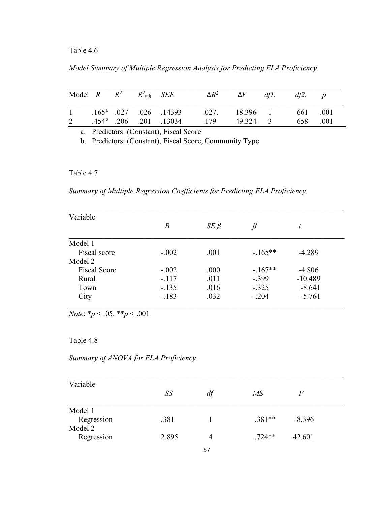# Table 4.6

# *Model Summary of Multiple Regression Analysis for Predicting ELA Proficiency.*

| Model $R$ $R^2$ $R^2$ $SEE$ |  |  | $\Delta R^2$ $\Delta F$                             |          | df1. | df2.     |  |
|-----------------------------|--|--|-----------------------------------------------------|----------|------|----------|--|
|                             |  |  | 1 .165 <sup>a</sup> .027 .026 .14393 .027. 18.396 1 |          |      | 661 .001 |  |
|                             |  |  | 2 .454 <sup>b</sup> .206 .201 .13034 .179           | 49.324 3 |      | 658 .001 |  |

a. Predictors: (Constant), Fiscal Score

b. Predictors: (Constant), Fiscal Score, Community Type

## Table 4.7

*Summary of Multiple Regression Coefficients for Predicting ELA Proficiency.*

| Variable            |         |            |          |           |  |
|---------------------|---------|------------|----------|-----------|--|
|                     | B       | $SE \beta$ | $\beta$  | t         |  |
| Model 1             |         |            |          |           |  |
| Fiscal score        | $-.002$ | .001       | $-165**$ | $-4.289$  |  |
| Model 2             |         |            |          |           |  |
| <b>Fiscal Score</b> | $-.002$ | .000       | $-167**$ | $-4.806$  |  |
| Rural               | $-.117$ | .011       | $-.399$  | $-10.489$ |  |
| Town                | $-.135$ | .016       | $-.325$  | $-8.641$  |  |
| City                | $-.183$ | .032       | $-.204$  | $-5.761$  |  |
|                     |         |            |          |           |  |

*Note*: \**p* < .05. \*\**p* < .001

## Table 4.8

*Summary of ANOVA for ELA Proficiency.*

| Variable   |       |    |          |        |  |
|------------|-------|----|----------|--------|--|
|            | SS    | df | MS       | F      |  |
| Model 1    |       |    |          |        |  |
| Regression | .381  |    | $.381**$ | 18.396 |  |
| Model 2    |       |    |          |        |  |
| Regression | 2.895 | 4  | $.724**$ | 42.601 |  |
|            |       |    |          |        |  |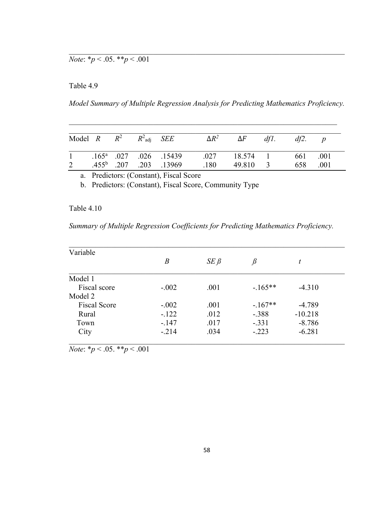# *Note*:  $*_{p}$  < .05.  $*_{p}$  < .001

# Table 4.9

*Model Summary of Multiple Regression Analysis for Predicting Mathematics Proficiency.*

\_\_\_\_\_\_\_\_\_\_\_\_\_\_\_\_\_\_\_\_\_\_\_\_\_\_\_\_\_\_\_\_\_\_\_\_\_\_\_\_\_\_\_\_\_\_\_\_\_\_\_\_\_\_\_\_\_\_\_\_\_\_\_\_\_\_\_\_\_\_

 $\mathcal{L}_\text{G}$  , and the contribution of the contribution of the contribution of the contribution of the contribution of the contribution of the contribution of the contribution of the contribution of the contribution of t

|                |  | Model $R$ $R^2$ $R^2$ $SEE$ |                                 | $\Delta R^2$ | $\Delta F$ | dfl. | df2. |      |  |
|----------------|--|-----------------------------|---------------------------------|--------------|------------|------|------|------|--|
| $1 \quad$      |  |                             | $.165^a$ .027 .026 .15439       | .027         | 18.574 1   |      | 661  | .001 |  |
| $\overline{2}$ |  |                             | $.455^{\circ}$ .207 .203 .13969 | .180         | 49.810     |      | 658  | .001 |  |

a. Predictors: (Constant), Fiscal Score

b. Predictors: (Constant), Fiscal Score, Community Type

## Table 4.10

*Summary of Multiple Regression Coefficients for Predicting Mathematics Proficiency.*

| Variable            |         |              |           |           |  |
|---------------------|---------|--------------|-----------|-----------|--|
|                     | B       | $SE$ $\beta$ | $\beta$   | t         |  |
| Model 1             |         |              |           |           |  |
| Fiscal score        | $-.002$ | .001         | $-165**$  | $-4.310$  |  |
| Model 2             |         |              |           |           |  |
| <b>Fiscal Score</b> | $-.002$ | .001         | $-.167**$ | $-4.789$  |  |
| Rural               | $-.122$ | .012         | $-.388$   | $-10.218$ |  |
| Town                | $-.147$ | .017         | $-.331$   | $-8.786$  |  |
| City                | $-.214$ | .034         | $-.223$   | $-6.281$  |  |
|                     |         |              |           |           |  |

*Note*: \**p* < .05. \*\**p* < .001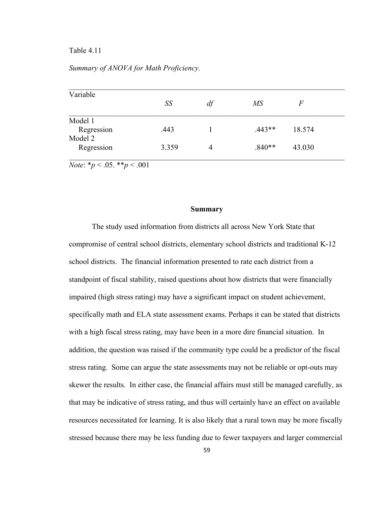### Table 4.11

## *Summary of ANOVA for Math Proficiency.*

| Variable                                  |       |    |                 |        |  |
|-------------------------------------------|-------|----|-----------------|--------|--|
|                                           | SS    | df | $\overline{MS}$ | F      |  |
| Model 1                                   |       |    |                 |        |  |
| Regression                                | .443  |    | $.443**$        | 18.574 |  |
| Model 2                                   |       |    |                 |        |  |
| Regression                                | 3.359 | 4  | $.840**$        | 43.030 |  |
| <i>Note</i> : * $p < .05$ . ** $p < .001$ |       |    |                 |        |  |

**Summary**

The study used information from districts all across New York State that compromise of central school districts, elementary school districts and traditional K-12 school districts. The financial information presented to rate each district from a standpoint of fiscal stability, raised questions about how districts that were financially impaired (high stress rating) may have a significant impact on student achievement, specifically math and ELA state assessment exams. Perhaps it can be stated that districts with a high fiscal stress rating, may have been in a more dire financial situation. In addition, the question was raised if the community type could be a predictor of the fiscal stress rating. Some can argue the state assessments may not be reliable or opt-outs may skewer the results. In either case, the financial affairs must still be managed carefully, as that may be indicative of stress rating, and thus will certainly have an effect on available resources necessitated for learning. It is also likely that a rural town may be more fiscally stressed because there may be less funding due to fewer taxpayers and larger commercial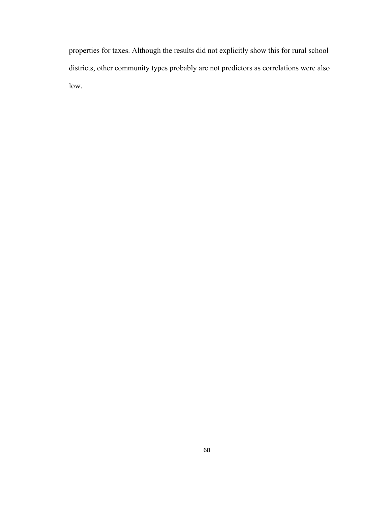properties for taxes. Although the results did not explicitly show this for rural school districts, other community types probably are not predictors as correlations were also low.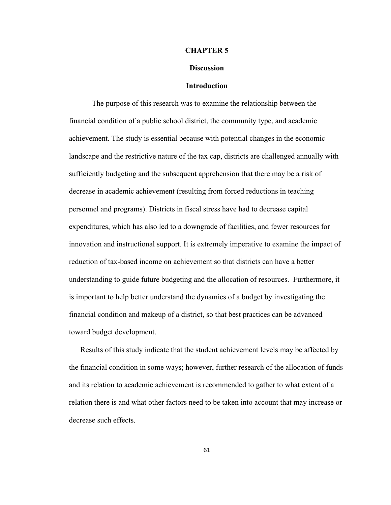#### **CHAPTER 5**

#### **Discussion**

#### **Introduction**

The purpose of this research was to examine the relationship between the financial condition of a public school district, the community type, and academic achievement. The study is essential because with potential changes in the economic landscape and the restrictive nature of the tax cap, districts are challenged annually with sufficiently budgeting and the subsequent apprehension that there may be a risk of decrease in academic achievement (resulting from forced reductions in teaching personnel and programs). Districts in fiscal stress have had to decrease capital expenditures, which has also led to a downgrade of facilities, and fewer resources for innovation and instructional support. It is extremely imperative to examine the impact of reduction of tax-based income on achievement so that districts can have a better understanding to guide future budgeting and the allocation of resources. Furthermore, it is important to help better understand the dynamics of a budget by investigating the financial condition and makeup of a district, so that best practices can be advanced toward budget development.

Results of this study indicate that the student achievement levels may be affected by the financial condition in some ways; however, further research of the allocation of funds and its relation to academic achievement is recommended to gather to what extent of a relation there is and what other factors need to be taken into account that may increase or decrease such effects.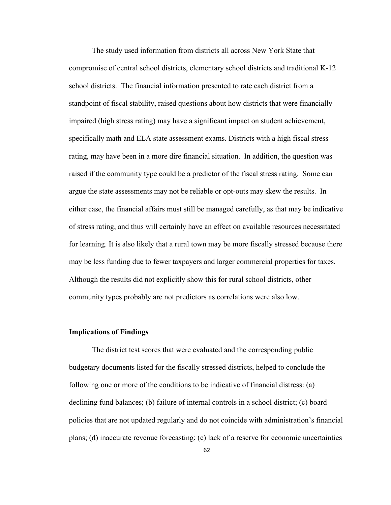The study used information from districts all across New York State that compromise of central school districts, elementary school districts and traditional K-12 school districts. The financial information presented to rate each district from a standpoint of fiscal stability, raised questions about how districts that were financially impaired (high stress rating) may have a significant impact on student achievement, specifically math and ELA state assessment exams. Districts with a high fiscal stress rating, may have been in a more dire financial situation. In addition, the question was raised if the community type could be a predictor of the fiscal stress rating. Some can argue the state assessments may not be reliable or opt-outs may skew the results. In either case, the financial affairs must still be managed carefully, as that may be indicative of stress rating, and thus will certainly have an effect on available resources necessitated for learning. It is also likely that a rural town may be more fiscally stressed because there may be less funding due to fewer taxpayers and larger commercial properties for taxes. Although the results did not explicitly show this for rural school districts, other community types probably are not predictors as correlations were also low.

#### **Implications of Findings**

The district test scores that were evaluated and the corresponding public budgetary documents listed for the fiscally stressed districts, helped to conclude the following one or more of the conditions to be indicative of financial distress: (a) declining fund balances; (b) failure of internal controls in a school district; (c) board policies that are not updated regularly and do not coincide with administration's financial plans; (d) inaccurate revenue forecasting; (e) lack of a reserve for economic uncertainties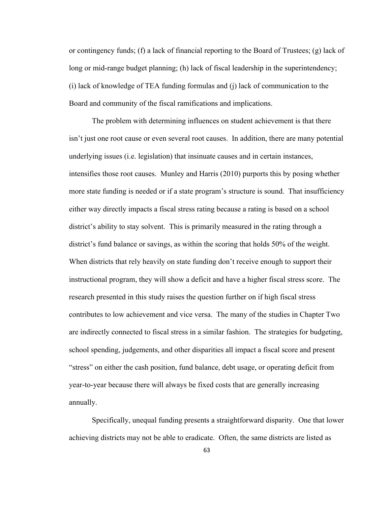or contingency funds; (f) a lack of financial reporting to the Board of Trustees; (g) lack of long or mid-range budget planning; (h) lack of fiscal leadership in the superintendency; (i) lack of knowledge of TEA funding formulas and (j) lack of communication to the Board and community of the fiscal ramifications and implications.

The problem with determining influences on student achievement is that there isn't just one root cause or even several root causes. In addition, there are many potential underlying issues (i.e. legislation) that insinuate causes and in certain instances, intensifies those root causes. Munley and Harris (2010) purports this by posing whether more state funding is needed or if a state program's structure is sound. That insufficiency either way directly impacts a fiscal stress rating because a rating is based on a school district's ability to stay solvent. This is primarily measured in the rating through a district's fund balance or savings, as within the scoring that holds 50% of the weight. When districts that rely heavily on state funding don't receive enough to support their instructional program, they will show a deficit and have a higher fiscal stress score. The research presented in this study raises the question further on if high fiscal stress contributes to low achievement and vice versa. The many of the studies in Chapter Two are indirectly connected to fiscal stress in a similar fashion. The strategies for budgeting, school spending, judgements, and other disparities all impact a fiscal score and present "stress" on either the cash position, fund balance, debt usage, or operating deficit from year-to-year because there will always be fixed costs that are generally increasing annually.

Specifically, unequal funding presents a straightforward disparity. One that lower achieving districts may not be able to eradicate. Often, the same districts are listed as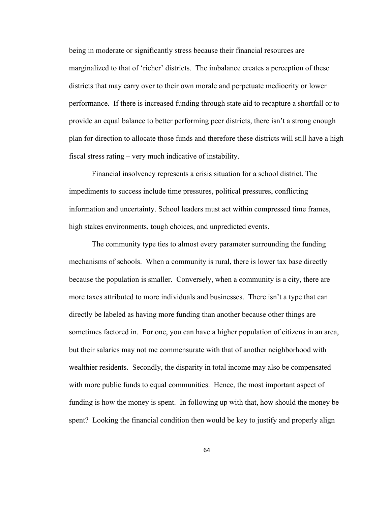being in moderate or significantly stress because their financial resources are marginalized to that of 'richer' districts. The imbalance creates a perception of these districts that may carry over to their own morale and perpetuate mediocrity or lower performance. If there is increased funding through state aid to recapture a shortfall or to provide an equal balance to better performing peer districts, there isn't a strong enough plan for direction to allocate those funds and therefore these districts will still have a high fiscal stress rating – very much indicative of instability.

Financial insolvency represents a crisis situation for a school district. The impediments to success include time pressures, political pressures, conflicting information and uncertainty. School leaders must act within compressed time frames, high stakes environments, tough choices, and unpredicted events.

The community type ties to almost every parameter surrounding the funding mechanisms of schools. When a community is rural, there is lower tax base directly because the population is smaller. Conversely, when a community is a city, there are more taxes attributed to more individuals and businesses. There isn't a type that can directly be labeled as having more funding than another because other things are sometimes factored in. For one, you can have a higher population of citizens in an area, but their salaries may not me commensurate with that of another neighborhood with wealthier residents. Secondly, the disparity in total income may also be compensated with more public funds to equal communities. Hence, the most important aspect of funding is how the money is spent. In following up with that, how should the money be spent? Looking the financial condition then would be key to justify and properly align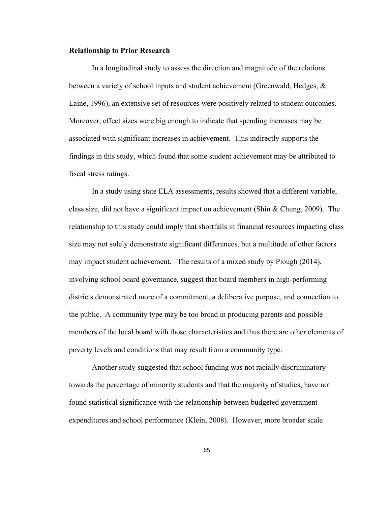#### **Relationship to Prior Research**

In a longitudinal study to assess the direction and magnitude of the relations between a variety of school inputs and student achievement (Greenwald, Hedges, & Laine, 1996), an extensive set of resources were positively related to student outcomes. Moreover, effect sizes were big enough to indicate that spending increases may be associated with significant increases in achievement. This indirectly supports the findings in this study, which found that some student achievement may be attributed to fiscal stress ratings.

In a study using state ELA assessments, results showed that a different variable, class size, did not have a significant impact on achievement (Shin & Chung, 2009). The relationship to this study could imply that shortfalls in financial resources impacting class size may not solely demonstrate significant differences, but a multitude of other factors may impact student achievement. The results of a mixed study by Plough (2014), involving school board governance, suggest that board members in high-performing districts demonstrated more of a commitment, a deliberative purpose, and connection to the public. A community type may be too broad in producing parents and possible members of the local board with those characteristics and thus there are other elements of poverty levels and conditions that may result from a community type.

Another study suggested that school funding was not racially discriminatory towards the percentage of minority students and that the majority of studies, have not found statistical significance with the relationship between budgeted government expenditures and school performance (Klein, 2008). However, more broader scale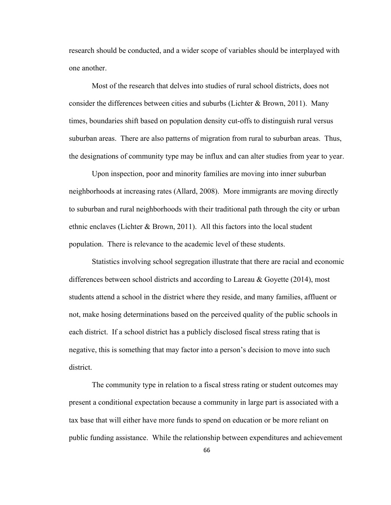research should be conducted, and a wider scope of variables should be interplayed with one another.

Most of the research that delves into studies of rural school districts, does not consider the differences between cities and suburbs (Lichter & Brown, 2011). Many times, boundaries shift based on population density cut-offs to distinguish rural versus suburban areas. There are also patterns of migration from rural to suburban areas. Thus, the designations of community type may be influx and can alter studies from year to year.

Upon inspection, poor and minority families are moving into inner suburban neighborhoods at increasing rates (Allard, 2008). More immigrants are moving directly to suburban and rural neighborhoods with their traditional path through the city or urban ethnic enclaves (Lichter & Brown, 2011). All this factors into the local student population. There is relevance to the academic level of these students.

Statistics involving school segregation illustrate that there are racial and economic differences between school districts and according to Lareau & Goyette (2014), most students attend a school in the district where they reside, and many families, affluent or not, make hosing determinations based on the perceived quality of the public schools in each district. If a school district has a publicly disclosed fiscal stress rating that is negative, this is something that may factor into a person's decision to move into such district.

The community type in relation to a fiscal stress rating or student outcomes may present a conditional expectation because a community in large part is associated with a tax base that will either have more funds to spend on education or be more reliant on public funding assistance. While the relationship between expenditures and achievement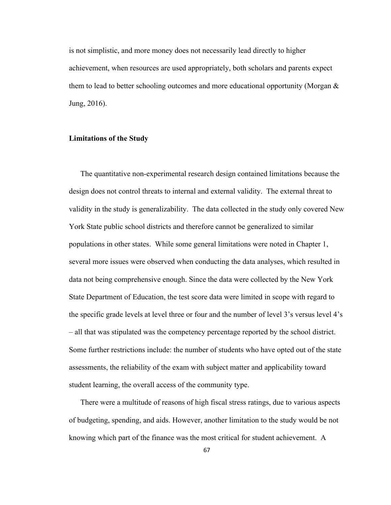is not simplistic, and more money does not necessarily lead directly to higher achievement, when resources are used appropriately, both scholars and parents expect them to lead to better schooling outcomes and more educational opportunity (Morgan & Jung, 2016).

## **Limitations of the Study**

The quantitative non-experimental research design contained limitations because the design does not control threats to internal and external validity. The external threat to validity in the study is generalizability. The data collected in the study only covered New York State public school districts and therefore cannot be generalized to similar populations in other states. While some general limitations were noted in Chapter 1, several more issues were observed when conducting the data analyses, which resulted in data not being comprehensive enough. Since the data were collected by the New York State Department of Education, the test score data were limited in scope with regard to the specific grade levels at level three or four and the number of level 3's versus level 4's – all that was stipulated was the competency percentage reported by the school district. Some further restrictions include: the number of students who have opted out of the state assessments, the reliability of the exam with subject matter and applicability toward student learning, the overall access of the community type.

There were a multitude of reasons of high fiscal stress ratings, due to various aspects of budgeting, spending, and aids. However, another limitation to the study would be not knowing which part of the finance was the most critical for student achievement. A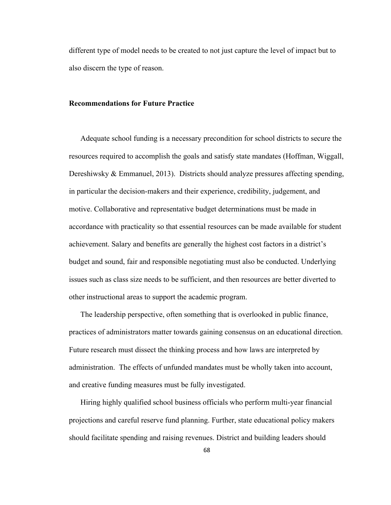different type of model needs to be created to not just capture the level of impact but to also discern the type of reason.

### **Recommendations for Future Practice**

Adequate school funding is a necessary precondition for school districts to secure the resources required to accomplish the goals and satisfy state mandates (Hoffman, Wiggall, Dereshiwsky & Emmanuel, 2013). Districts should analyze pressures affecting spending, in particular the decision-makers and their experience, credibility, judgement, and motive. Collaborative and representative budget determinations must be made in accordance with practicality so that essential resources can be made available for student achievement. Salary and benefits are generally the highest cost factors in a district's budget and sound, fair and responsible negotiating must also be conducted. Underlying issues such as class size needs to be sufficient, and then resources are better diverted to other instructional areas to support the academic program.

The leadership perspective, often something that is overlooked in public finance, practices of administrators matter towards gaining consensus on an educational direction. Future research must dissect the thinking process and how laws are interpreted by administration. The effects of unfunded mandates must be wholly taken into account, and creative funding measures must be fully investigated.

Hiring highly qualified school business officials who perform multi-year financial projections and careful reserve fund planning. Further, state educational policy makers should facilitate spending and raising revenues. District and building leaders should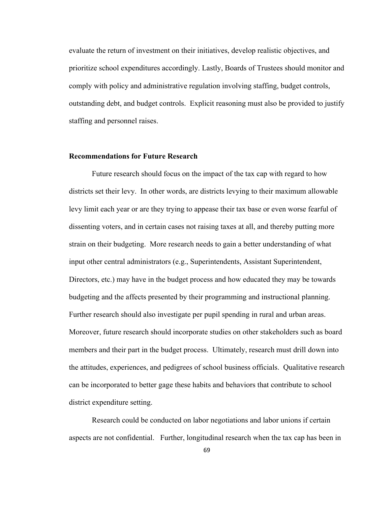evaluate the return of investment on their initiatives, develop realistic objectives, and prioritize school expenditures accordingly. Lastly, Boards of Trustees should monitor and comply with policy and administrative regulation involving staffing, budget controls, outstanding debt, and budget controls. Explicit reasoning must also be provided to justify staffing and personnel raises.

## **Recommendations for Future Research**

Future research should focus on the impact of the tax cap with regard to how districts set their levy. In other words, are districts levying to their maximum allowable levy limit each year or are they trying to appease their tax base or even worse fearful of dissenting voters, and in certain cases not raising taxes at all, and thereby putting more strain on their budgeting. More research needs to gain a better understanding of what input other central administrators (e.g., Superintendents, Assistant Superintendent, Directors, etc.) may have in the budget process and how educated they may be towards budgeting and the affects presented by their programming and instructional planning. Further research should also investigate per pupil spending in rural and urban areas. Moreover, future research should incorporate studies on other stakeholders such as board members and their part in the budget process. Ultimately, research must drill down into the attitudes, experiences, and pedigrees of school business officials. Qualitative research can be incorporated to better gage these habits and behaviors that contribute to school district expenditure setting.

Research could be conducted on labor negotiations and labor unions if certain aspects are not confidential. Further, longitudinal research when the tax cap has been in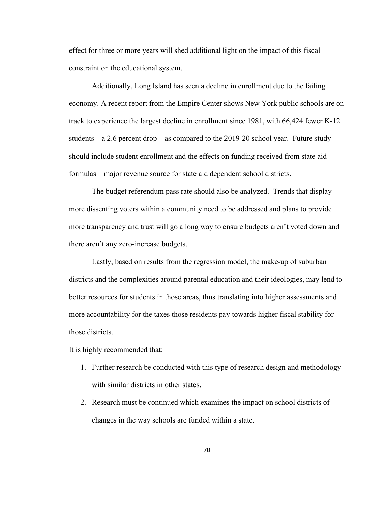effect for three or more years will shed additional light on the impact of this fiscal constraint on the educational system.

Additionally, Long Island has seen a decline in enrollment due to the failing economy. A recent report from the Empire Center shows New York public schools are on track to experience the largest decline in enrollment since 1981, with 66,424 fewer K-12 students—a 2.6 percent drop—as compared to the 2019-20 school year. Future study should include student enrollment and the effects on funding received from state aid formulas – major revenue source for state aid dependent school districts.

The budget referendum pass rate should also be analyzed. Trends that display more dissenting voters within a community need to be addressed and plans to provide more transparency and trust will go a long way to ensure budgets aren't voted down and there aren't any zero-increase budgets.

Lastly, based on results from the regression model, the make-up of suburban districts and the complexities around parental education and their ideologies, may lend to better resources for students in those areas, thus translating into higher assessments and more accountability for the taxes those residents pay towards higher fiscal stability for those districts.

It is highly recommended that:

- 1. Further research be conducted with this type of research design and methodology with similar districts in other states.
- 2. Research must be continued which examines the impact on school districts of changes in the way schools are funded within a state.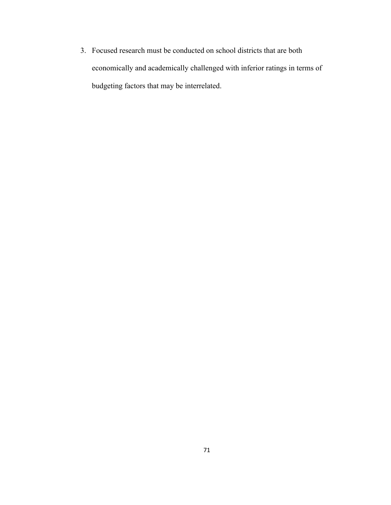3. Focused research must be conducted on school districts that are both economically and academically challenged with inferior ratings in terms of budgeting factors that may be interrelated.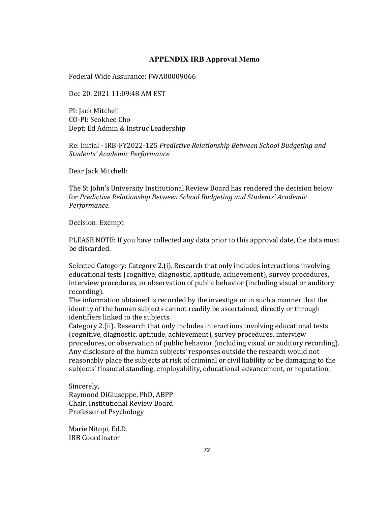# **APPENDIX IRB Approval Memo**

Federal Wide Assurance: FWA00009066

Dec 20, 2021 11:09:48 AM EST

PI: Jack Mitchell CO-PI: Seokhee Cho Dept: Ed Admin & Instruc Leadership

Re: Initial - IRB-FY2022-125 *Predictive Relationship Between School Budgeting and Students' Academic Performance*

Dear Jack Mitchell:

The St John's University Institutional Review Board has rendered the decision below for *Predictive Relationship Between School Budgeting and Students' Academic Performance*.

Decision: Exempt

PLEASE NOTE: If you have collected any data prior to this approval date, the data must be discarded.

Selected Category: Category 2.(i). Research that only includes interactions involving educational tests (cognitive, diagnostic, aptitude, achievement), survey procedures, interview procedures, or observation of public behavior (including visual or auditory recording).

The information obtained is recorded by the investigator in such a manner that the identity of the human subjects cannot readily be ascertained, directly or through identifiers linked to the subjects.

Category 2.(ii). Research that only includes interactions involving educational tests (cognitive, diagnostic, aptitude, achievement), survey procedures, interview procedures, or observation of public behavior (including visual or auditory recording). Any disclosure of the human subjects' responses outside the research would not reasonably place the subjects at risk of criminal or civil liability or be damaging to the subjects' financial standing, employability, educational advancement, or reputation.

Sincerely, Raymond DiGiuseppe, PhD, ABPP Chair, Institutional Review Board Professor of Psychology

Marie Nitopi, Ed.D. IRB Coordinator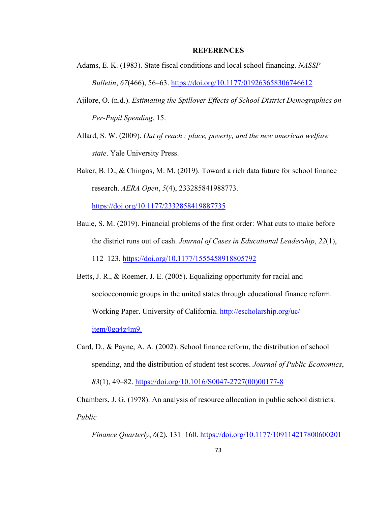### **REFERENCES**

- Adams, E. K. (1983). State fiscal conditions and local school financing. *NASSP Bulletin*, *67*(466), 56–63.<https://doi.org/10.1177/019263658306746612>
- Ajilore, O. (n.d.). *Estimating the Spillover Effects of School District Demographics on Per-Pupil Spending*. 15.
- Allard, S. W. (2009). *Out of reach : place, poverty, and the new american welfare state*. Yale University Press.
- Baker, B. D., & Chingos, M. M. (2019). Toward a rich data future for school finance research. *AERA Open*, *5*(4), 233285841988773.

<https://doi.org/10.1177/2332858419887735>

- Baule, S. M. (2019). Financial problems of the first order: What cuts to make before the district runs out of cash. *Journal of Cases in Educational Leadership*, *22*(1), 112–123.<https://doi.org/10.1177/1555458918805792>
- Betts, J. R., & Roemer, J. E. (2005). Equalizing opportunity for racial and socioeconomic groups in the united states through educational finance reform. Working Paper. University of California. http://escholarship.org/uc/ item/0gq4z4m9.
- Card, D., & Payne, A. A. (2002). School finance reform, the distribution of school spending, and the distribution of student test scores. *Journal of Public Economics*, *83*(1), 49–82. [https://doi.org/10.1016/S0047-2727\(00\)00177-8](https://doi.org/10.1016/S0047-2727(00)00177-8)

Chambers, J. G. (1978). An analysis of resource allocation in public school districts. *Public* 

*Finance Quarterly*, *6*(2), 131–160.<https://doi.org/10.1177/109114217800600201>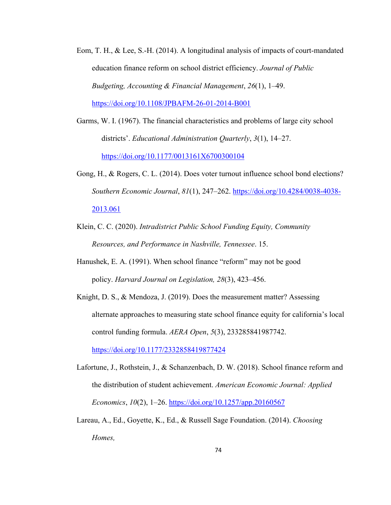- Eom, T. H., & Lee, S.-H. (2014). A longitudinal analysis of impacts of court-mandated education finance reform on school district efficiency. *Journal of Public Budgeting, Accounting & Financial Management*, *26*(1), 1–49. <https://doi.org/10.1108/JPBAFM-26-01-2014-B001>
- Garms, W. I. (1967). The financial characteristics and problems of large city school districts'. *Educational Administration Quarterly*, *3*(1), 14–27. <https://doi.org/10.1177/0013161X6700300104>
- Gong, H., & Rogers, C. L. (2014). Does voter turnout influence school bond elections? *Southern Economic Journal*, *81*(1), 247–262. [https://doi.org/10.4284/0038-4038-](https://doi.org/10.4284/0038-4038-2013.061) [2013.061](https://doi.org/10.4284/0038-4038-2013.061)
- Klein, C. C. (2020). *Intradistrict Public School Funding Equity, Community Resources, and Performance in Nashville, Tennessee*. 15.
- Hanushek, E. A. (1991). When school finance "reform" may not be good policy. *Harvard Journal on Legislation, 28*(3), 423–456.
- Knight, D. S., & Mendoza, J. (2019). Does the measurement matter? Assessing alternate approaches to measuring state school finance equity for california's local control funding formula. *AERA Open*, *5*(3), 233285841987742. <https://doi.org/10.1177/2332858419877424>
- Lafortune, J., Rothstein, J., & Schanzenbach, D. W. (2018). School finance reform and the distribution of student achievement. *American Economic Journal: Applied Economics*, *10*(2), 1–26.<https://doi.org/10.1257/app.20160567>
- Lareau, A., Ed., Goyette, K., Ed., & Russell Sage Foundation. (2014). *Choosing Homes,*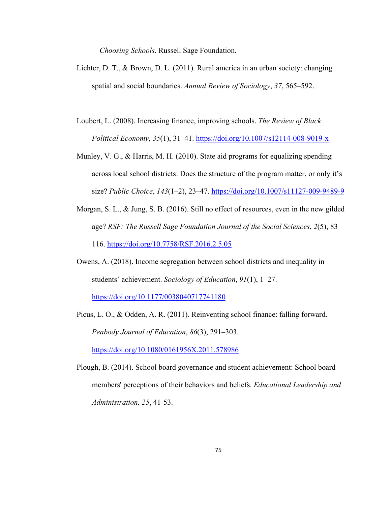*Choosing Schools*. Russell Sage Foundation.

- Lichter, D. T., & Brown, D. L. (2011). Rural america in an urban society: changing spatial and social boundaries. *Annual Review of Sociology*, *37*, 565–592.
- Loubert, L. (2008). Increasing finance, improving schools. *The Review of Black Political Economy*, *35*(1), 31–41.<https://doi.org/10.1007/s12114-008-9019-x>
- Munley, V. G., & Harris, M. H. (2010). State aid programs for equalizing spending across local school districts: Does the structure of the program matter, or only it's size? *Public Choice*, *143*(1–2), 23–47.<https://doi.org/10.1007/s11127-009-9489-9>
- Morgan, S. L., & Jung, S. B. (2016). Still no effect of resources, even in the new gilded age? *RSF: The Russell Sage Foundation Journal of the Social Sciences*, *2*(5), 83– 116.<https://doi.org/10.7758/RSF.2016.2.5.05>
- Owens, A. (2018). Income segregation between school districts and inequality in students' achievement. *Sociology of Education*, *91*(1), 1–27.

<https://doi.org/10.1177/0038040717741180>

- Picus, L. O., & Odden, A. R. (2011). Reinventing school finance: falling forward. *Peabody Journal of Education*, *86*(3), 291–303. <https://doi.org/10.1080/0161956X.2011.578986>
- Plough, B. (2014). School board governance and student achievement: School board members' perceptions of their behaviors and beliefs. *Educational Leadership and Administration, 25*, 41-53.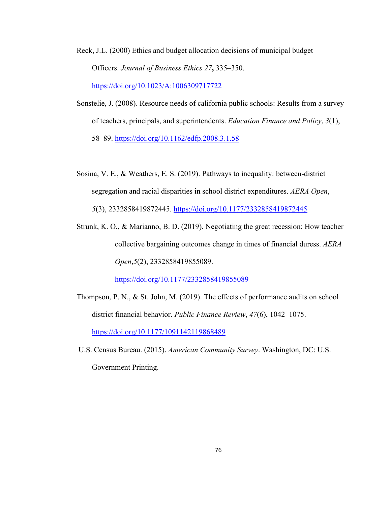Reck, J.L. (2000) Ethics and budget allocation decisions of municipal budget Officers. *Journal of Business Ethics 27***,** 335–350. https://doi.org/10.1023/A:1006309717722

- Sonstelie, J. (2008). Resource needs of california public schools: Results from a survey of teachers, principals, and superintendents. *Education Finance and Policy*, *3*(1), 58–89.<https://doi.org/10.1162/edfp.2008.3.1.58>
- Sosina, V. E., & Weathers, E. S. (2019). Pathways to inequality: between-district segregation and racial disparities in school district expenditures. *AERA Open*, *5*(3), 2332858419872445.<https://doi.org/10.1177/2332858419872445>
- Strunk, K. O., & Marianno, B. D. (2019). Negotiating the great recession: How teacher collective bargaining outcomes change in times of financial duress. *AERA Open*,*5*(2), 2332858419855089.

<https://doi.org/10.1177/2332858419855089>

- Thompson, P. N., & St. John, M. (2019). The effects of performance audits on school district financial behavior. *Public Finance Review*, *47*(6), 1042–1075. <https://doi.org/10.1177/1091142119868489>
- U.S. Census Bureau. (2015). *American Community Survey*. Washington, DC: U.S. Government Printing.